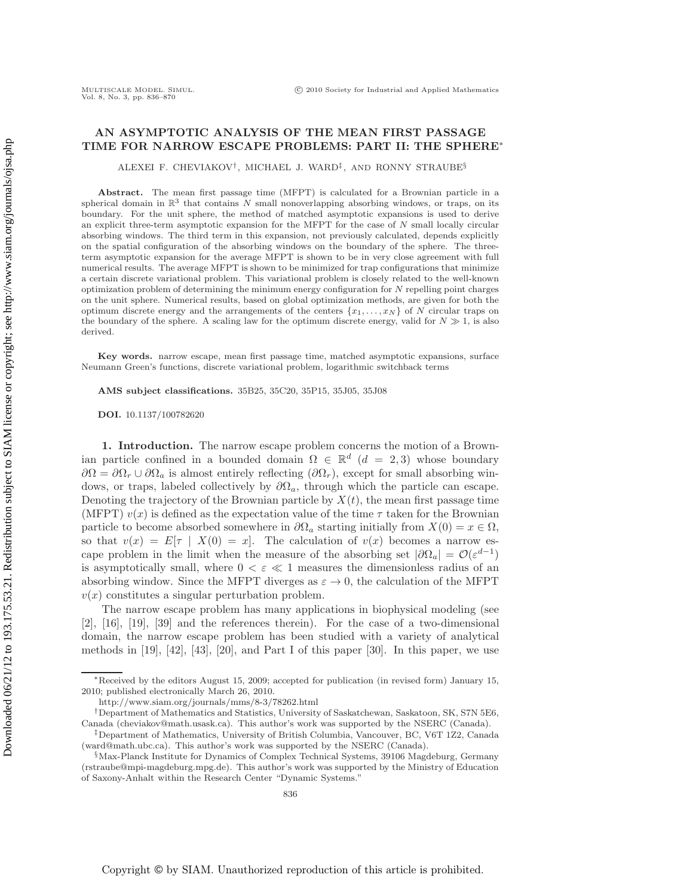# **AN ASYMPTOTIC ANALYSIS OF THE MEAN FIRST PASSAGE TIME FOR NARROW ESCAPE PROBLEMS: PART II: THE SPHERE**∗

ALEXEI F. CHEVIAKOV†, MICHAEL J. WARD‡ , AND RONNY STRAUBE§

**Abstract.** The mean first passage time (MFPT) is calculated for a Brownian particle in a spherical domain in  $\mathbb{R}^3$  that contains N small nonoverlapping absorbing windows, or traps, on its boundary. For the unit sphere, the method of matched asymptotic expansions is used to derive an explicit three-term asymptotic expansion for the MFPT for the case of  $N$  small locally circular absorbing windows. The third term in this expansion, not previously calculated, depends explicitly on the spatial configuration of the absorbing windows on the boundary of the sphere. The threeterm asymptotic expansion for the average MFPT is shown to be in very close agreement with full numerical results. The average MFPT is shown to be minimized for trap configurations that minimize a certain discrete variational problem. This variational problem is closely related to the well-known optimization problem of determining the minimum energy configuration for  $N$  repelling point charges on the unit sphere. Numerical results, based on global optimization methods, are given for both the optimum discrete energy and the arrangements of the centers  $\{x_1, \ldots, x_N\}$  of N circular traps on the boundary of the sphere. A scaling law for the optimum discrete energy, valid for  $N \gg 1$ , is also derived.

**Key words.** narrow escape, mean first passage time, matched asymptotic expansions, surface Neumann Green's functions, discrete variational problem, logarithmic switchback terms

**AMS subject classifications.** 35B25, 35C20, 35P15, 35J05, 35J08

**DOI.** 10.1137/100782620

**1. Introduction.** The narrow escape problem concerns the motion of a Brownian particle confined in a bounded domain  $\Omega \in \mathbb{R}^d$  ( $d = 2, 3$ ) whose boundary  $\partial\Omega = \partial\Omega_r \cup \partial\Omega_a$  is almost entirely reflecting  $(\partial\Omega_r)$ , except for small absorbing windows, or traps, labeled collectively by  $\partial\Omega_a$ , through which the particle can escape. Denoting the trajectory of the Brownian particle by  $X(t)$ , the mean first passage time (MFPT)  $v(x)$  is defined as the expectation value of the time  $\tau$  taken for the Brownian particle to become absorbed somewhere in  $\partial\Omega_a$  starting initially from  $X(0) = x \in \Omega$ , so that  $v(x) = E[\tau | X(0) = x]$ . The calculation of  $v(x)$  becomes a narrow escape problem in the limit when the measure of the absorbing set  $|\partial\Omega_a| = \mathcal{O}(\varepsilon^{d-1})$ is asymptotically small, where  $0 < \varepsilon \ll 1$  measures the dimensionless radius of an absorbing window. Since the MFPT diverges as  $\varepsilon \to 0$ , the calculation of the MFPT  $v(x)$  constitutes a singular perturbation problem.

The narrow escape problem has many applications in biophysical modeling (see [2], [16], [19], [39] and the references therein). For the case of a two-dimensional domain, the narrow escape problem has been studied with a variety of analytical methods in  $[19]$ ,  $[42]$ ,  $[43]$ ,  $[20]$ , and Part I of this paper  $[30]$ . In this paper, we use

<sup>∗</sup>Received by the editors August 15, 2009; accepted for publication (in revised form) January 15, 2010; published electronically March 26, 2010.

http://www.siam.org/journals/mms/8-3/78262.html

<sup>†</sup>Department of Mathematics and Statistics, University of Saskatchewan, Saskatoon, SK, S7N 5E6, Canada (cheviakov@math.usask.ca). This author's work was supported by the NSERC (Canada).

<sup>‡</sup>Department of Mathematics, University of British Columbia, Vancouver, BC, V6T 1Z2, Canada (ward@math.ubc.ca). This author's work was supported by the NSERC (Canada).

<sup>§</sup>Max-Planck Institute for Dynamics of Complex Technical Systems, 39106 Magdeburg, Germany (rstraube@mpi-magdeburg.mpg.de). This author's work was supported by the Ministry of Education of Saxony-Anhalt within the Research Center "Dynamic Systems."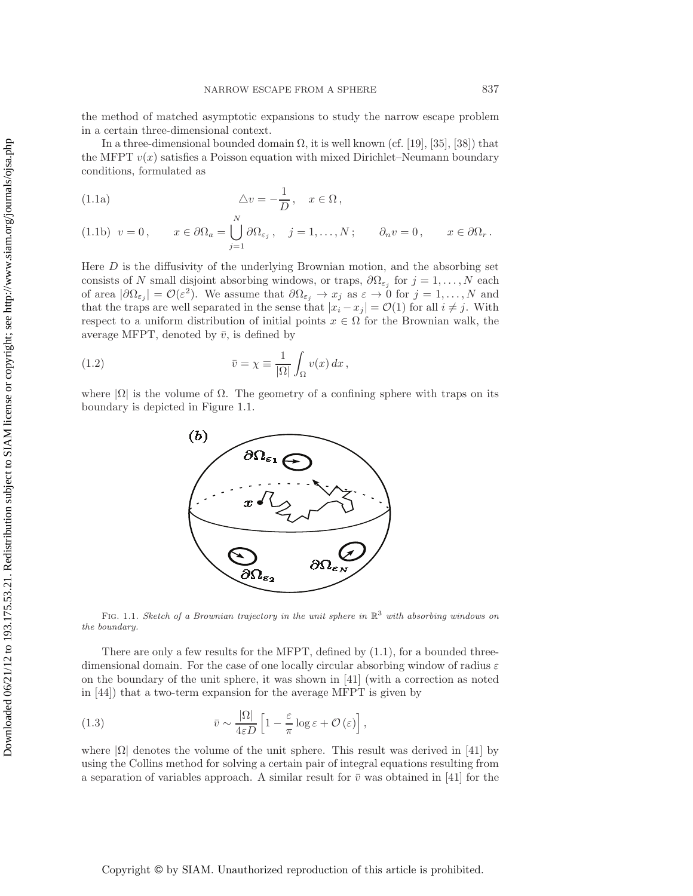the method of matched asymptotic expansions to study the narrow escape problem in a certain three-dimensional context.

In a three-dimensional bounded domain  $\Omega$ , it is well known (cf. [19], [35], [38]) that the MFPT  $v(x)$  satisfies a Poisson equation with mixed Dirichlet–Neumann boundary conditions, formulated as

(1.1a) 
$$
\Delta v = -\frac{1}{D}, \quad x \in \Omega,
$$

 $\lambda$ r

(1.1b) 
$$
v = 0
$$
,  $x \in \partial \Omega_a = \bigcup_{j=1}^N \partial \Omega_{\varepsilon_j}$ ,  $j = 1,..., N$ ;  $\partial_n v = 0$ ,  $x \in \partial \Omega_r$ .

Here  $D$  is the diffusivity of the underlying Brownian motion, and the absorbing set consists of N small disjoint absorbing windows, or traps,  $\partial\Omega_{\varepsilon_i}$  for  $j=1,\ldots,N$  each of area  $|\partial\Omega_{\varepsilon_j}| = \mathcal{O}(\varepsilon^2)$ . We assume that  $\partial\Omega_{\varepsilon_j} \to x_j$  as  $\varepsilon \to 0$  for  $j = 1, \ldots, N$  and that the traps are well separated in the sense that  $|x_i - x_j| = \mathcal{O}(1)$  for all  $i \neq j$ . With respect to a uniform distribution of initial points  $x \in \Omega$  for the Brownian walk, the average MFPT, denoted by  $\bar{v}$ , is defined by

(1.2) 
$$
\bar{v} = \chi \equiv \frac{1}{|\Omega|} \int_{\Omega} v(x) dx,
$$

where  $|\Omega|$  is the volume of  $\Omega$ . The geometry of a confining sphere with traps on its boundary is depicted in Figure 1.1.



FIG. 1.1. Sketch of a Brownian trajectory in the unit sphere in  $\mathbb{R}^3$  with absorbing windows on the boundary.

There are only a few results for the MFPT, defined by  $(1.1)$ , for a bounded threedimensional domain. For the case of one locally circular absorbing window of radius  $\varepsilon$ on the boundary of the unit sphere, it was shown in [41] (with a correction as noted in [44]) that a two-term expansion for the average MFPT is given by

(1.3) 
$$
\bar{v} \sim \frac{|\Omega|}{4\varepsilon D} \left[ 1 - \frac{\varepsilon}{\pi} \log \varepsilon + \mathcal{O}(\varepsilon) \right],
$$

where  $|\Omega|$  denotes the volume of the unit sphere. This result was derived in [41] by using the Collins method for solving a certain pair of integral equations resulting from a separation of variables approach. A similar result for  $\bar{v}$  was obtained in [41] for the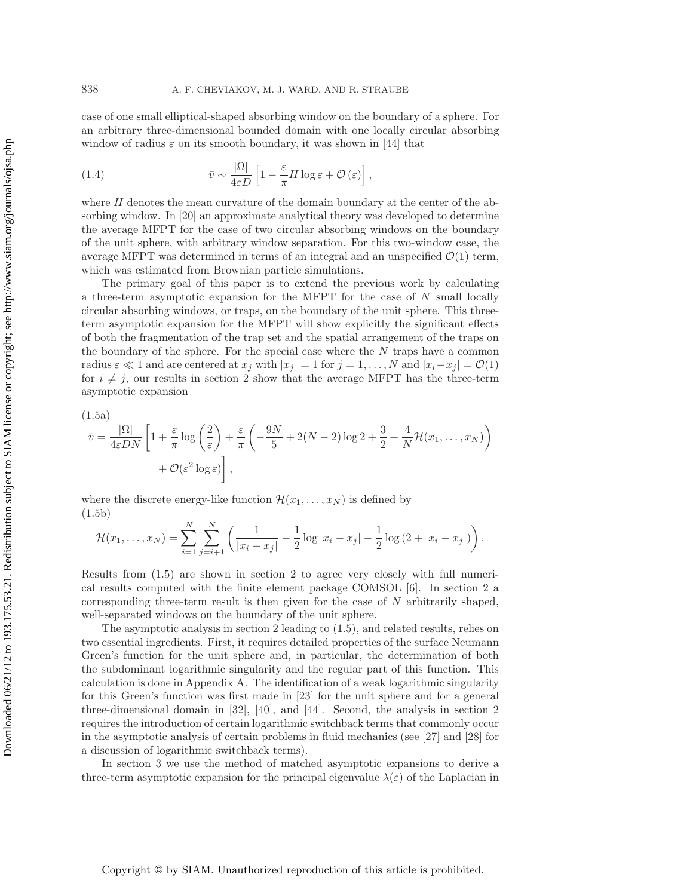case of one small elliptical-shaped absorbing window on the boundary of a sphere. For an arbitrary three-dimensional bounded domain with one locally circular absorbing window of radius  $\varepsilon$  on its smooth boundary, it was shown in [44] that

(1.4) 
$$
\bar{v} \sim \frac{|\Omega|}{4\varepsilon D} \left[ 1 - \frac{\varepsilon}{\pi} H \log \varepsilon + \mathcal{O}(\varepsilon) \right],
$$

where  $H$  denotes the mean curvature of the domain boundary at the center of the absorbing window. In [20] an approximate analytical theory was developed to determine the average MFPT for the case of two circular absorbing windows on the boundary of the unit sphere, with arbitrary window separation. For this two-window case, the average MFPT was determined in terms of an integral and an unspecified  $\mathcal{O}(1)$  term, which was estimated from Brownian particle simulations.

The primary goal of this paper is to extend the previous work by calculating a three-term asymptotic expansion for the MFPT for the case of  $N$  small locally circular absorbing windows, or traps, on the boundary of the unit sphere. This threeterm asymptotic expansion for the MFPT will show explicitly the significant effects of both the fragmentation of the trap set and the spatial arrangement of the traps on the boundary of the sphere. For the special case where the  $N$  traps have a common radius  $\varepsilon \ll 1$  and are centered at  $x_j$  with  $|x_j| = 1$  for  $j = 1, \ldots, N$  and  $|x_i - x_j| = \mathcal{O}(1)$ for  $i \neq j$ , our results in section 2 show that the average MFPT has the three-term asymptotic expansion

(1.5a)

$$
\bar{v} = \frac{|\Omega|}{4\varepsilon DN} \left[ 1 + \frac{\varepsilon}{\pi} \log \left( \frac{2}{\varepsilon} \right) + \frac{\varepsilon}{\pi} \left( -\frac{9N}{5} + 2(N-2) \log 2 + \frac{3}{2} + \frac{4}{N} \mathcal{H}(x_1, \dots, x_N) \right) + \mathcal{O}(\varepsilon^2 \log \varepsilon) \right],
$$

where the discrete energy-like function  $\mathcal{H}(x_1,\ldots,x_N)$  is defined by (1.5b)

$$
\mathcal{H}(x_1,\ldots,x_N)=\sum_{i=1}^N\sum_{j=i+1}^N\left(\frac{1}{|x_i-x_j|}-\frac{1}{2}\log|x_i-x_j|-\frac{1}{2}\log(2+|x_i-x_j|)\right).
$$

Results from (1.5) are shown in section 2 to agree very closely with full numerical results computed with the finite element package COMSOL [6]. In section 2 a corresponding three-term result is then given for the case of  $N$  arbitrarily shaped, well-separated windows on the boundary of the unit sphere.

The asymptotic analysis in section 2 leading to (1.5), and related results, relies on two essential ingredients. First, it requires detailed properties of the surface Neumann Green's function for the unit sphere and, in particular, the determination of both the subdominant logarithmic singularity and the regular part of this function. This calculation is done in Appendix A. The identification of a weak logarithmic singularity for this Green's function was first made in [23] for the unit sphere and for a general three-dimensional domain in [32], [40], and [44]. Second, the analysis in section 2 requires the introduction of certain logarithmic switchback terms that commonly occur in the asymptotic analysis of certain problems in fluid mechanics (see [27] and [28] for a discussion of logarithmic switchback terms).

In section 3 we use the method of matched asymptotic expansions to derive a three-term asymptotic expansion for the principal eigenvalue  $\lambda(\varepsilon)$  of the Laplacian in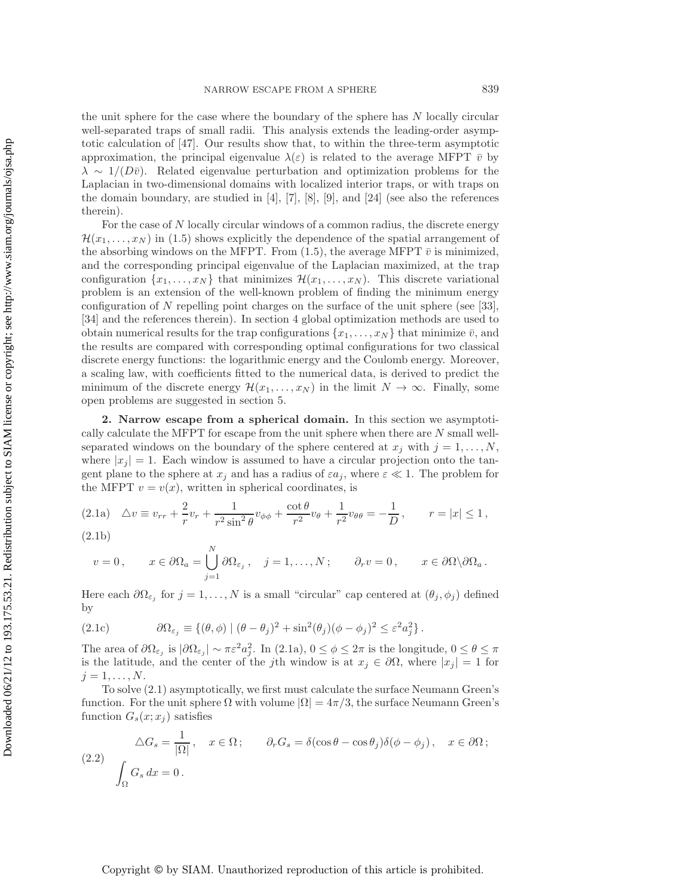the unit sphere for the case where the boundary of the sphere has  $N$  locally circular well-separated traps of small radii. This analysis extends the leading-order asymptotic calculation of [47]. Our results show that, to within the three-term asymptotic approximation, the principal eigenvalue  $\lambda(\varepsilon)$  is related to the average MFPT  $\bar{v}$  by  $\lambda \sim 1/(D\bar{v})$ . Related eigenvalue perturbation and optimization problems for the Laplacian in two-dimensional domains with localized interior traps, or with traps on the domain boundary, are studied in [4], [7], [8], [9], and [24] (see also the references therein).

For the case of N locally circular windows of a common radius, the discrete energy  $\mathcal{H}(x_1,\ldots,x_N)$  in (1.5) shows explicitly the dependence of the spatial arrangement of the absorbing windows on the MFPT. From (1.5), the average MFPT  $\bar{v}$  is minimized, and the corresponding principal eigenvalue of the Laplacian maximized, at the trap configuration  $\{x_1,\ldots,x_N\}$  that minimizes  $\mathcal{H}(x_1,\ldots,x_N)$ . This discrete variational problem is an extension of the well-known problem of finding the minimum energy configuration of  $N$  repelling point charges on the surface of the unit sphere (see [33], [34] and the references therein). In section 4 global optimization methods are used to obtain numerical results for the trap configurations  $\{x_1,\ldots,x_N\}$  that minimize  $\bar{v}$ , and the results are compared with corresponding optimal configurations for two classical discrete energy functions: the logarithmic energy and the Coulomb energy. Moreover, a scaling law, with coefficients fitted to the numerical data, is derived to predict the minimum of the discrete energy  $\mathcal{H}(x_1,\ldots,x_N)$  in the limit  $N \to \infty$ . Finally, some open problems are suggested in section 5.

**2. Narrow escape from a spherical domain.** In this section we asymptotically calculate the MFPT for escape from the unit sphere when there are N small wellseparated windows on the boundary of the sphere centered at  $x_j$  with  $j = 1, \ldots, N$ , where  $|x_i| = 1$ . Each window is assumed to have a circular projection onto the tangent plane to the sphere at  $x_j$  and has a radius of  $\varepsilon a_j$ , where  $\varepsilon \ll 1$ . The problem for the MFPT  $v = v(x)$ , written in spherical coordinates, is

$$
(2.1a) \quad \Delta v \equiv v_{rr} + \frac{2}{r}v_r + \frac{1}{r^2 \sin^2 \theta}v_{\phi\phi} + \frac{\cot \theta}{r^2}v_{\theta} + \frac{1}{r^2}v_{\theta\theta} = -\frac{1}{D}, \qquad r = |x| \le 1,
$$

(2.1b)

$$
v = 0
$$
,  $x \in \partial \Omega_a = \bigcup_{j=1}^N \partial \Omega_{\varepsilon_j}$ ,  $j = 1,..., N$ ;  $\partial_r v = 0$ ,  $x \in \partial \Omega \backslash \partial \Omega_a$ .

Here each  $\partial\Omega_{\varepsilon_j}$  for  $j=1,\ldots,N$  is a small "circular" cap centered at  $(\theta_j,\phi_j)$  defined by

(2.1c) 
$$
\partial \Omega_{\varepsilon_j} \equiv \{ (\theta, \phi) \mid (\theta - \theta_j)^2 + \sin^2(\theta_j)(\phi - \phi_j)^2 \leq \varepsilon^2 a_j^2 \}.
$$

The area of  $\partial\Omega_{\varepsilon_j}$  is  $|\partial\Omega_{\varepsilon_j}| \sim \pi \varepsilon^2 a_j^2$ . In (2.1a),  $0 \le \phi \le 2\pi$  is the longitude,  $0 \le \theta \le \pi$ is the latitude, and the center of the jth window is at  $x_j \in \partial \Omega$ , where  $|x_j| = 1$  for  $j=1,\ldots,N.$ 

To solve (2.1) asymptotically, we first must calculate the surface Neumann Green's function. For the unit sphere  $\Omega$  with volume  $|\Omega| = 4\pi/3$ , the surface Neumann Green's function  $G_s(x; x_i)$  satisfies

(2.2) 
$$
\Delta G_s = \frac{1}{|\Omega|}, \quad x \in \Omega; \qquad \partial_r G_s = \delta(\cos \theta - \cos \theta_j) \delta(\phi - \phi_j), \quad x \in \partial \Omega;
$$

$$
\int_{\Omega} G_s dx = 0.
$$

Downloaded 06/21/12 to 193.175.53.21. Redistribution subject to SIAM license or copyright; see http://www.siam.org/journals/ojsa.php Downloaded 06/21/12 to 193.175.53.21. Redistribution subject to SIAM license or copyright; see http://www.siam.org/journals/ojsa.php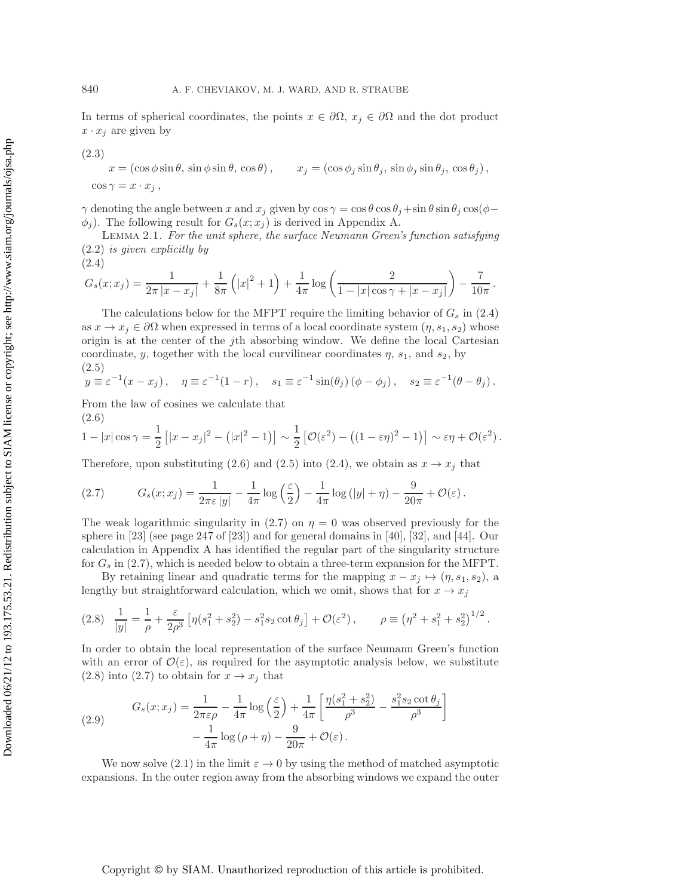In terms of spherical coordinates, the points  $x \in \partial\Omega$ ,  $x_j \in \partial\Omega$  and the dot product  $x \cdot x_j$  are given by

(2.3)  
\n
$$
x = (\cos \phi \sin \theta, \sin \phi \sin \theta, \cos \theta), \qquad x_j = (\cos \phi_j \sin \theta_j, \sin \phi_j \sin \theta_j, \cos \theta_j),
$$
\n
$$
\cos \gamma = x \cdot x_j,
$$

 $\gamma$  denoting the angle between x and  $x_j$  given by  $\cos \gamma = \cos \theta \cos \theta_j + \sin \theta \sin \theta_j \cos(\phi - \theta_j)$  $\phi_j$ ). The following result for  $G_s(x; x_j)$  is derived in Appendix A.

Lemma 2.1. *For the unit sphere, the surface Neumann Green's function satisfying* (2.2) *is given explicitly by*

(2.4)  

$$
G_s(x;x_j) = \frac{1}{2\pi |x - x_j|} + \frac{1}{8\pi} (|x|^2 + 1) + \frac{1}{4\pi} \log \left( \frac{2}{1 - |x| \cos \gamma + |x - x_j|} \right) - \frac{7}{10\pi}.
$$

The calculations below for the MFPT require the limiting behavior of  $G_s$  in (2.4) as  $x \to x_i \in \partial\Omega$  when expressed in terms of a local coordinate system  $(\eta, s_1, s_2)$  whose origin is at the center of the jth absorbing window. We define the local Cartesian coordinate, y, together with the local curvilinear coordinates  $\eta$ ,  $s_1$ , and  $s_2$ , by (2.5)

$$
y \equiv \varepsilon^{-1}(x - x_j), \quad \eta \equiv \varepsilon^{-1}(1 - r), \quad s_1 \equiv \varepsilon^{-1}\sin(\theta_j)(\phi - \phi_j), \quad s_2 \equiv \varepsilon^{-1}(\theta - \theta_j).
$$

From the law of cosines we calculate that (2.6)

$$
1-|x|\cos\gamma=\frac{1}{2}\left[|x-x_j|^2-\left(|x|^2-1\right)\right]\sim\frac{1}{2}\left[\mathcal{O}(\varepsilon^2)-\left((1-\varepsilon\eta)^2-1\right)\right]\sim\varepsilon\eta+\mathcal{O}(\varepsilon^2).
$$

Therefore, upon substituting (2.6) and (2.5) into (2.4), we obtain as  $x \to x_j$  that

(2.7) 
$$
G_s(x;x_j) = \frac{1}{2\pi\varepsilon|y|} - \frac{1}{4\pi}\log\left(\frac{\varepsilon}{2}\right) - \frac{1}{4\pi}\log(|y| + \eta) - \frac{9}{20\pi} + \mathcal{O}(\varepsilon).
$$

The weak logarithmic singularity in (2.7) on  $\eta = 0$  was observed previously for the sphere in [23] (see page 247 of [23]) and for general domains in [40], [32], and [44]. Our calculation in Appendix A has identified the regular part of the singularity structure for  $G_s$  in (2.7), which is needed below to obtain a three-term expansion for the MFPT.

By retaining linear and quadratic terms for the mapping  $x - x_j \mapsto (\eta, s_1, s_2)$ , a lengthy but straightforward calculation, which we omit, shows that for  $x \to x_j$ 

$$
(2.8) \quad \frac{1}{|y|} = \frac{1}{\rho} + \frac{\varepsilon}{2\rho^3} \left[ \eta (s_1^2 + s_2^2) - s_1^2 s_2 \cot \theta_j \right] + \mathcal{O}(\varepsilon^2) \,, \qquad \rho \equiv \left( \eta^2 + s_1^2 + s_2^2 \right)^{1/2}.
$$

In order to obtain the local representation of the surface Neumann Green's function with an error of  $\mathcal{O}(\varepsilon)$ , as required for the asymptotic analysis below, we substitute  $(2.8)$  into  $(2.7)$  to obtain for  $x \rightarrow x_j$  that

(2.9) 
$$
G_s(x; x_j) = \frac{1}{2\pi\varepsilon\rho} - \frac{1}{4\pi}\log\left(\frac{\varepsilon}{2}\right) + \frac{1}{4\pi}\left[\frac{\eta(s_1^2 + s_2^2)}{\rho^3} - \frac{s_1^2s_2\cot\theta_j}{\rho^3}\right] - \frac{1}{4\pi}\log(\rho + \eta) - \frac{9}{20\pi} + \mathcal{O}(\varepsilon).
$$

We now solve (2.1) in the limit  $\varepsilon \to 0$  by using the method of matched asymptotic expansions. In the outer region away from the absorbing windows we expand the outer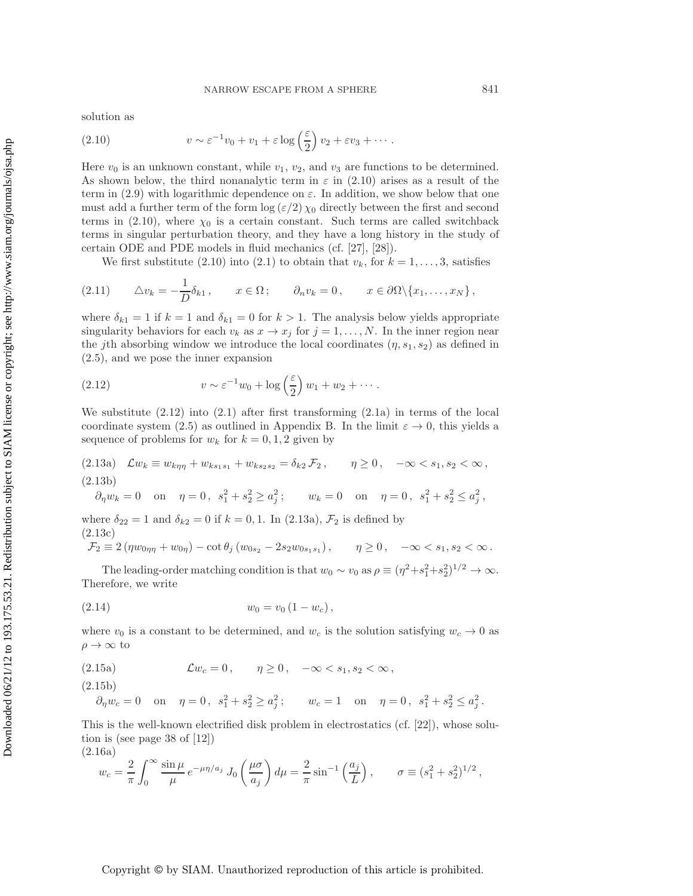solution as

(2.10) 
$$
v \sim \varepsilon^{-1} v_0 + v_1 + \varepsilon \log \left(\frac{\varepsilon}{2}\right) v_2 + \varepsilon v_3 + \cdots.
$$

Here  $v_0$  is an unknown constant, while  $v_1, v_2$ , and  $v_3$  are functions to be determined. As shown below, the third nonanalytic term in  $\varepsilon$  in (2.10) arises as a result of the term in (2.9) with logarithmic dependence on  $\varepsilon$ . In addition, we show below that one must add a further term of the form  $\log (\varepsilon/2) \chi_0$  directly between the first and second terms in (2.10), where  $\chi_0$  is a certain constant. Such terms are called switchback terms in singular perturbation theory, and they have a long history in the study of certain ODE and PDE models in fluid mechanics (cf. [27], [28]).

We first substitute (2.10) into (2.1) to obtain that  $v_k$ , for  $k = 1, \ldots, 3$ , satisfies

$$
(2.11) \qquad \Delta v_k = -\frac{1}{D} \delta_{k1} \,, \qquad x \in \Omega \,; \qquad \partial_n v_k = 0 \,, \qquad x \in \partial \Omega \setminus \{x_1, \ldots, x_N\} \,,
$$

where  $\delta_{k1} = 1$  if  $k = 1$  and  $\delta_{k1} = 0$  for  $k > 1$ . The analysis below yields appropriate singularity behaviors for each  $v_k$  as  $x \to x_j$  for  $j = 1, \ldots, N$ . In the inner region near the jth absorbing window we introduce the local coordinates  $(\eta, s_1, s_2)$  as defined in (2.5), and we pose the inner expansion

(2.12) 
$$
v \sim \varepsilon^{-1} w_0 + \log\left(\frac{\varepsilon}{2}\right) w_1 + w_2 + \cdots.
$$

We substitute  $(2.12)$  into  $(2.1)$  after first transforming  $(2.1a)$  in terms of the local coordinate system (2.5) as outlined in Appendix B. In the limit  $\varepsilon \to 0$ , this yields a sequence of problems for  $w_k$  for  $k = 0, 1, 2$  given by

(2.13a) 
$$
\mathcal{L}w_k \equiv w_{k\eta\eta} + w_{ks_1s_1} + w_{ks_2s_2} = \delta_{k2} \mathcal{F}_2, \qquad \eta \ge 0, \quad -\infty < s_1, s_2 < \infty,
$$
  
(2.13b)

$$
\partial_{\eta} w_k = 0
$$
 on  $\eta = 0$ ,  $s_1^2 + s_2^2 \ge a_j^2$ ;  $w_k = 0$  on  $\eta = 0$ ,  $s_1^2 + s_2^2 \le a_j^2$ ,

where  $\delta_{22} = 1$  and  $\delta_{k2} = 0$  if  $k = 0, 1$ . In (2.13a),  $\mathcal{F}_2$  is defined by (2.13c)

$$
\mathcal{F}_2 \equiv 2(\eta w_{0\eta\eta} + w_{0\eta}) - \cot \theta_j (w_{0s_2} - 2s_2 w_{0s_1s_1}), \qquad \eta \ge 0, \quad -\infty < s_1, s_2 < \infty.
$$

The leading-order matching condition is that  $w_0 \sim v_0$  as  $\rho \equiv (\eta^2 + s_1^2 + s_2^2)^{1/2} \to \infty$ . Therefore, we write

$$
(2.14) \t\t w_0 = v_0 (1 - w_c),
$$

where  $v_0$  is a constant to be determined, and  $w_c$  is the solution satisfying  $w_c \to 0$  as  $\rho \rightarrow \infty$  to

(2.15a) 
$$
\mathcal{L}w_c = 0, \quad \eta \ge 0, \quad -\infty < s_1, s_2 < \infty,
$$

(2.15b)

$$
\partial_{\eta} w_c = 0
$$
 on  $\eta = 0$ ,  $s_1^2 + s_2^2 \ge a_j^2$ ;  $w_c = 1$  on  $\eta = 0$ ,  $s_1^2 + s_2^2 \le a_j^2$ .

This is the well-known electrified disk problem in electrostatics (cf. [22]), whose solution is (see page 38 of [12])

(2.16a)  
\n
$$
w_c = \frac{2}{\pi} \int_0^\infty \frac{\sin \mu}{\mu} e^{-\mu \eta / a_j} J_0 \left( \frac{\mu \sigma}{a_j} \right) d\mu = \frac{2}{\pi} \sin^{-1} \left( \frac{a_j}{L} \right), \qquad \sigma \equiv (s_1^2 + s_2^2)^{1/2},
$$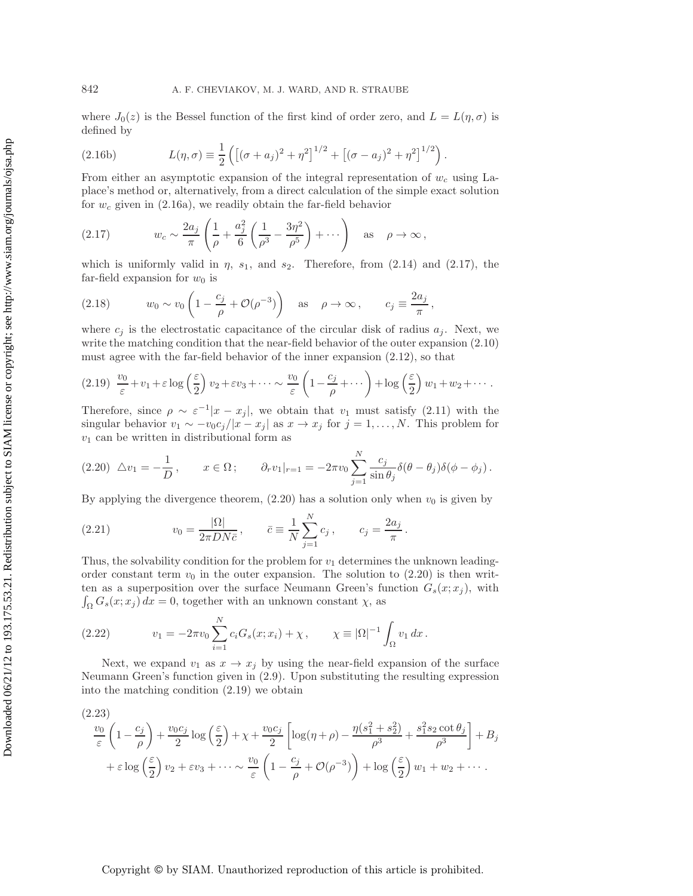where  $J_0(z)$  is the Bessel function of the first kind of order zero, and  $L = L(\eta, \sigma)$  is defined by

(2.16b) 
$$
L(\eta, \sigma) \equiv \frac{1}{2} \left( \left[ (\sigma + a_j)^2 + \eta^2 \right]^{1/2} + \left[ (\sigma - a_j)^2 + \eta^2 \right]^{1/2} \right).
$$

From either an asymptotic expansion of the integral representation of  $w_c$  using Laplace's method or, alternatively, from a direct calculation of the simple exact solution for  $w_c$  given in (2.16a), we readily obtain the far-field behavior

(2.17) 
$$
w_c \sim \frac{2a_j}{\pi} \left( \frac{1}{\rho} + \frac{a_j^2}{6} \left( \frac{1}{\rho^3} - \frac{3\eta^2}{\rho^5} \right) + \cdots \right) \text{ as } \rho \to \infty,
$$

which is uniformly valid in  $\eta$ ,  $s_1$ , and  $s_2$ . Therefore, from (2.14) and (2.17), the far-field expansion for  $w_0$  is

(2.18) 
$$
w_0 \sim v_0 \left(1 - \frac{c_j}{\rho} + \mathcal{O}(\rho^{-3})\right)
$$
 as  $\rho \to \infty$ ,  $c_j \equiv \frac{2a_j}{\pi}$ ,

where  $c_j$  is the electrostatic capacitance of the circular disk of radius  $a_j$ . Next, we write the matching condition that the near-field behavior of the outer expansion  $(2.10)$ must agree with the far-field behavior of the inner expansion (2.12), so that

$$
(2.19) \frac{v_0}{\varepsilon} + v_1 + \varepsilon \log\left(\frac{\varepsilon}{2}\right) v_2 + \varepsilon v_3 + \cdots \sim \frac{v_0}{\varepsilon} \left(1 - \frac{c_j}{\rho} + \cdots\right) + \log\left(\frac{\varepsilon}{2}\right) w_1 + w_2 + \cdots.
$$

Therefore, since  $\rho \sim \varepsilon^{-1}|x - x_j|$ , we obtain that  $v_1$  must satisfy (2.11) with the singular behavior  $v_1 \sim -v_0 c_j/|x-x_j|$  as  $x \to x_j$  for  $j=1,\ldots,N$ . This problem for  $v_1$  can be written in distributional form as

$$
(2.20)\ \triangle v_1 = -\frac{1}{D}, \qquad x \in \Omega\,;\qquad \partial_r v_1|_{r=1} = -2\pi v_0 \sum_{j=1}^N \frac{c_j}{\sin \theta_j} \delta(\theta - \theta_j) \delta(\phi - \phi_j)\,.
$$

By applying the divergence theorem,  $(2.20)$  has a solution only when  $v_0$  is given by

(2.21) 
$$
v_0 = \frac{|\Omega|}{2\pi DN \bar{c}}, \qquad \bar{c} \equiv \frac{1}{N} \sum_{j=1}^N c_j, \qquad c_j = \frac{2a_j}{\pi}.
$$

Thus, the solvability condition for the problem for  $v_1$  determines the unknown leadingorder constant term  $v_0$  in the outer expansion. The solution to (2.20) is then written as a superposition over the surface Neumann Green's function  $G_s(x; x_j)$ , with  $\int_{\Omega} G_s(x; x_j) dx = 0$ , together with an unknown constant  $\chi$ , as

(2.22) 
$$
v_1 = -2\pi v_0 \sum_{i=1}^N c_i G_s(x; x_i) + \chi, \qquad \chi \equiv |\Omega|^{-1} \int_{\Omega} v_1 dx.
$$

Next, we expand  $v_1$  as  $x \to x_j$  by using the near-field expansion of the surface Neumann Green's function given in (2.9). Upon substituting the resulting expression into the matching condition (2.19) we obtain

$$
\frac{v_0}{\varepsilon} \left( 1 - \frac{c_j}{\rho} \right) + \frac{v_0 c_j}{2} \log \left( \frac{\varepsilon}{2} \right) + \chi + \frac{v_0 c_j}{2} \left[ \log(\eta + \rho) - \frac{\eta (s_1^2 + s_2^2)}{\rho^3} + \frac{s_1^2 s_2 \cot \theta_j}{\rho^3} \right] + B_j
$$
  
+  $\varepsilon \log \left( \frac{\varepsilon}{2} \right) v_2 + \varepsilon v_3 + \dots \sim \frac{v_0}{\varepsilon} \left( 1 - \frac{c_j}{\rho} + \mathcal{O}(\rho^{-3}) \right) + \log \left( \frac{\varepsilon}{2} \right) w_1 + w_2 + \dots$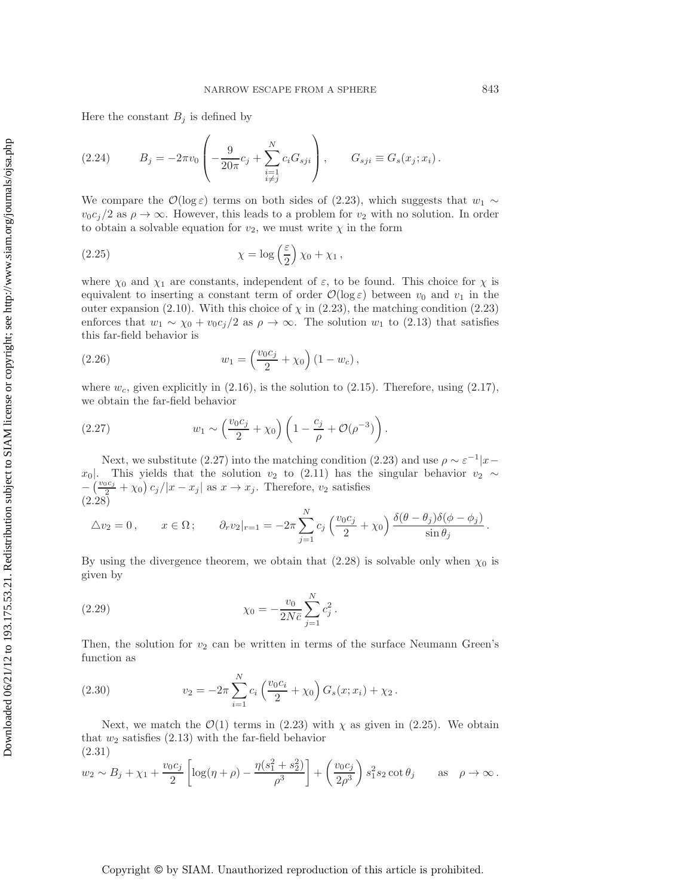Here the constant  $B_j$  is defined by

(2.24) 
$$
B_j = -2\pi v_0 \left( -\frac{9}{20\pi} c_j + \sum_{\substack{i=1 \ i \neq j}}^N c_i G_{sji} \right), \qquad G_{sji} \equiv G_s(x_j; x_i).
$$

We compare the  $\mathcal{O}(\log \varepsilon)$  terms on both sides of (2.23), which suggests that  $w_1 \sim$  $v_0c_j/2$  as  $\rho \to \infty$ . However, this leads to a problem for  $v_2$  with no solution. In order to obtain a solvable equation for  $v_2$ , we must write  $\chi$  in the form

(2.25) 
$$
\chi = \log\left(\frac{\varepsilon}{2}\right)\chi_0 + \chi_1,
$$

where  $\chi_0$  and  $\chi_1$  are constants, independent of  $\varepsilon$ , to be found. This choice for  $\chi$  is equivalent to inserting a constant term of order  $\mathcal{O}(\log \varepsilon)$  between  $v_0$  and  $v_1$  in the outer expansion (2.10). With this choice of  $\chi$  in (2.23), the matching condition (2.23) enforces that  $w_1 \sim \chi_0 + v_0 c_j/2$  as  $\rho \to \infty$ . The solution  $w_1$  to (2.13) that satisfies this far-field behavior is

(2.26) 
$$
w_1 = \left(\frac{v_0 c_j}{2} + \chi_0\right) (1 - w_c),
$$

where  $w_c$ , given explicitly in (2.16), is the solution to (2.15). Therefore, using (2.17), we obtain the far-field behavior

(2.27) 
$$
w_1 \sim \left(\frac{v_0 c_j}{2} + \chi_0\right) \left(1 - \frac{c_j}{\rho} + \mathcal{O}(\rho^{-3})\right).
$$

Next, we substitute (2.27) into the matching condition (2.23) and use  $\rho \sim \varepsilon^{-1}|x-\rangle$ x<sub>0</sub>. This yields that the solution  $v_2$  to (2.11) has the singular behavior  $v_2 \sim$  $-\left(\frac{v_0c_j}{2} + \chi_0\right)c_j/|x - x_j|$  as  $x \to x_j$ . Therefore,  $v_2$  satisfies  $(2.28)$ 

$$
\triangle v_2 = 0, \qquad x \in \Omega; \qquad \partial_r v_2|_{r=1} = -2\pi \sum_{j=1}^N c_j \left(\frac{v_0 c_j}{2} + \chi_0\right) \frac{\delta(\theta - \theta_j)\delta(\phi - \phi_j)}{\sin \theta_j}
$$

By using the divergence theorem, we obtain that  $(2.28)$  is solvable only when  $\chi_0$  is given by

(2.29) 
$$
\chi_0 = -\frac{v_0}{2N\bar{c}} \sum_{j=1}^N c_j^2.
$$

Then, the solution for  $v_2$  can be written in terms of the surface Neumann Green's function as

(2.30) 
$$
v_2 = -2\pi \sum_{i=1}^{N} c_i \left(\frac{v_0 c_i}{2} + \chi_0\right) G_s(x; x_i) + \chi_2.
$$

Next, we match the  $\mathcal{O}(1)$  terms in (2.23) with  $\chi$  as given in (2.25). We obtain that  $w_2$  satisfies  $(2.13)$  with the far-field behavior (2.31)

$$
w_2 \sim B_j + \chi_1 + \frac{v_0 c_j}{2} \left[ \log(\eta + \rho) - \frac{\eta(s_1^2 + s_2^2)}{\rho^3} \right] + \left( \frac{v_0 c_j}{2\rho^3} \right) s_1^2 s_2 \cot \theta_j
$$
 as  $\rho \to \infty$ .

.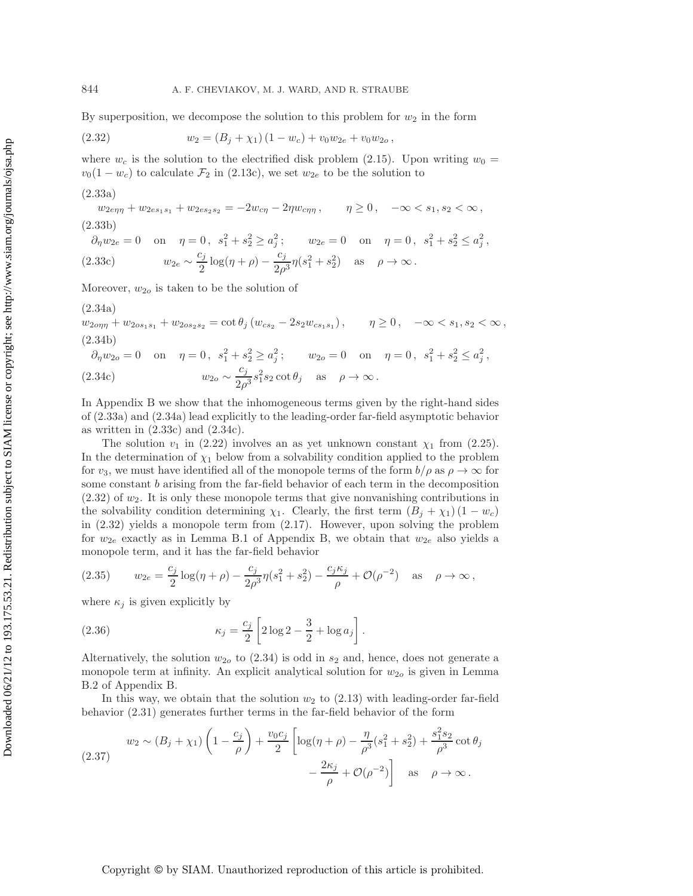By superposition, we decompose the solution to this problem for  $w_2$  in the form

(2.32) 
$$
w_2 = (B_j + \chi_1) (1 - w_c) + v_0 w_{2e} + v_0 w_{2o},
$$

where  $w_c$  is the solution to the electrified disk problem (2.15). Upon writing  $w_0 =$  $v_0(1 - w_c)$  to calculate  $\mathcal{F}_2$  in (2.13c), we set  $w_{2e}$  to be the solution to

$$
(2.33a)
$$

$$
w_{2e\eta\eta} + w_{2es_1s_1} + w_{2es_2s_2} = -2w_{c\eta} - 2\eta w_{c\eta\eta}, \qquad \eta \ge 0, \quad -\infty < s_1, s_2 < \infty,
$$
\n
$$
(2.33b)
$$

$$
\partial_{\eta} w_{2e} = 0
$$
 on  $\eta = 0$ ,  $s_1^2 + s_2^2 \ge a_j^2$ ;  $w_{2e} = 0$  on  $\eta = 0$ ,  $s_1^2 + s_2^2 \le a_j^2$ ,  
(2.33c)  $w_{2e} \sim \frac{c_j}{2} \log(\eta + \rho) - \frac{c_j}{2\rho^3} \eta(s_1^2 + s_2^2)$  as  $\rho \to \infty$ .

Moreover,  $w_{2o}$  is taken to be the solution of

$$
(2.34a)
$$

 $w_{2o\eta\eta} + w_{2o s_1 s_1} + w_{2o s_2 s_2} = \cot \theta_j (w_{c s_2} - 2 s_2 w_{c s_1 s_1}), \qquad \eta \ge 0, \quad -\infty < s_1, s_2 < \infty,$ (2.34b)

$$
\partial_{\eta} w_{2o} = 0
$$
 on  $\eta = 0$ ,  $s_1^2 + s_2^2 \ge a_j^2$ ;  $w_{2o} = 0$  on  $\eta = 0$ ,  $s_1^2 + s_2^2 \le a_j^2$ ,  
(2.34c)  $w_{2o} \sim \frac{c_j}{2\rho^3} s_1^2 s_2 \cot \theta_j$  as  $\rho \to \infty$ .

In Appendix B we show that the inhomogeneous terms given by the right-hand sides of (2.33a) and (2.34a) lead explicitly to the leading-order far-field asymptotic behavior as written in  $(2.33c)$  and  $(2.34c)$ .

The solution  $v_1$  in (2.22) involves an as yet unknown constant  $\chi_1$  from (2.25). In the determination of  $\chi_1$  below from a solvability condition applied to the problem for  $v_3$ , we must have identified all of the monopole terms of the form  $b/\rho$  as  $\rho \to \infty$  for some constant  $b$  arising from the far-field behavior of each term in the decomposition  $(2.32)$  of  $w_2$ . It is only these monopole terms that give nonvanishing contributions in the solvability condition determining  $\chi_1$ . Clearly, the first term  $(B_j + \chi_1)(1 - w_c)$ in (2.32) yields a monopole term from (2.17). However, upon solving the problem for  $w_{2e}$  exactly as in Lemma B.1 of Appendix B, we obtain that  $w_{2e}$  also yields a monopole term, and it has the far-field behavior

(2.35) 
$$
w_{2e} = \frac{c_j}{2} \log(\eta + \rho) - \frac{c_j}{2\rho^3} \eta (s_1^2 + s_2^2) - \frac{c_j \kappa_j}{\rho} + \mathcal{O}(\rho^{-2}) \text{ as } \rho \to \infty,
$$

where  $\kappa_j$  is given explicitly by

(2.36) 
$$
\kappa_j = \frac{c_j}{2} \left[ 2 \log 2 - \frac{3}{2} + \log a_j \right].
$$

Alternatively, the solution  $w_{2o}$  to (2.34) is odd in  $s_2$  and, hence, does not generate a monopole term at infinity. An explicit analytical solution for  $w_{2o}$  is given in Lemma B.2 of Appendix B.

In this way, we obtain that the solution  $w_2$  to (2.13) with leading-order far-field behavior (2.31) generates further terms in the far-field behavior of the form

(2.37) 
$$
w_2 \sim (B_j + \chi_1) \left( 1 - \frac{c_j}{\rho} \right) + \frac{v_0 c_j}{2} \left[ \log(\eta + \rho) - \frac{\eta}{\rho^3} (s_1^2 + s_2^2) + \frac{s_1^2 s_2}{\rho^3} \cot \theta_j - \frac{2\kappa_j}{\rho} + \mathcal{O}(\rho^{-2}) \right] \text{ as } \rho \to \infty.
$$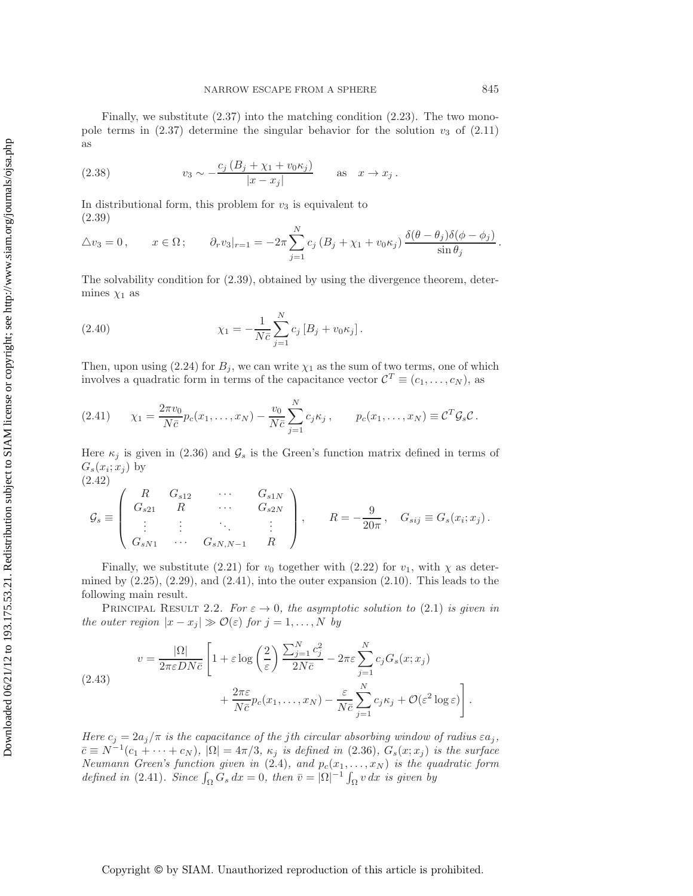Finally, we substitute  $(2.37)$  into the matching condition  $(2.23)$ . The two monopole terms in  $(2.37)$  determine the singular behavior for the solution  $v_3$  of  $(2.11)$ as

(2.38) 
$$
v_3 \sim -\frac{c_j (B_j + \chi_1 + v_0 \kappa_j)}{|x - x_j|} \quad \text{as} \quad x \to x_j.
$$

In distributional form, this problem for  $v_3$  is equivalent to (2.39)

$$
\Delta v_3 = 0, \qquad x \in \Omega; \qquad \partial_r v_3|_{r=1} = -2\pi \sum_{j=1}^N c_j (B_j + \chi_1 + v_0 \kappa_j) \frac{\delta(\theta - \theta_j)\delta(\phi - \phi_j)}{\sin \theta_j}.
$$

The solvability condition for (2.39), obtained by using the divergence theorem, determines  $\chi_1$  as

(2.40) 
$$
\chi_1 = -\frac{1}{N\bar{c}} \sum_{j=1}^{N} c_j \left[ B_j + v_0 \kappa_j \right].
$$

Then, upon using (2.24) for  $B_j$ , we can write  $\chi_1$  as the sum of two terms, one of which involves a quadratic form in terms of the capacitance vector  $\mathcal{C}^T \equiv (c_1,\ldots,c_N)$ , as

(2.41) 
$$
\chi_1 = \frac{2\pi v_0}{N\bar{c}} p_c(x_1, ..., x_N) - \frac{v_0}{N\bar{c}} \sum_{j=1}^N c_j \kappa_j, \qquad p_c(x_1, ..., x_N) \equiv \mathcal{C}^T \mathcal{G}_s \mathcal{C}.
$$

Here  $\kappa_i$  is given in (2.36) and  $\mathcal{G}_s$  is the Green's function matrix defined in terms of  $G_s(x_i; x_j)$  by (2.42)

$$
\mathcal{G}_{s} \equiv \left( \begin{array}{cccc} R & G_{s12} & \cdots & G_{s1N} \\ G_{s21} & R & \cdots & G_{s2N} \\ \vdots & \vdots & \ddots & \vdots \\ G_{sN1} & \cdots & G_{sN,N-1} & R \end{array} \right), \qquad R = -\frac{9}{20\pi}, \quad G_{sij} \equiv G_{s}(x_{i}; x_{j}).
$$

Finally, we substitute (2.21) for  $v_0$  together with (2.22) for  $v_1$ , with  $\chi$  as determined by  $(2.25)$ ,  $(2.29)$ , and  $(2.41)$ , into the outer expansion  $(2.10)$ . This leads to the following main result.

PRINCIPAL RESULT 2.2. *For*  $\varepsilon \to 0$ , the asymptotic solution to (2.1) is given in *the outer region*  $|x - x_j| \gg \mathcal{O}(\varepsilon)$  *for*  $j = 1, \ldots, N$  *by* 

(2.43) 
$$
v = \frac{|\Omega|}{2\pi\varepsilon DN\bar{c}} \left[ 1 + \varepsilon \log\left(\frac{2}{\varepsilon}\right) \frac{\sum_{j=1}^{N} c_j^2}{2N\bar{c}} - 2\pi\varepsilon \sum_{j=1}^{N} c_j G_s(x; x_j) + \frac{2\pi\varepsilon}{N\bar{c}} p_c(x_1, \dots, x_N) - \frac{\varepsilon}{N\bar{c}} \sum_{j=1}^{N} c_j \kappa_j + \mathcal{O}(\varepsilon^2 \log \varepsilon) \right].
$$

*Here*  $c_j = 2a_j/\pi$  *is the capacitance of the jth circular absorbing window of radius*  $\epsilon a_j$ ,  $\bar{c} \equiv N^{-1}(c_1 + \cdots + c_N)$ ,  $|\Omega| = 4\pi/3$ ,  $\kappa_j$  *is defined in* (2.36),  $G_s(x; x_j)$  *is the surface Neumann Green's function given in* (2.4)*, and*  $p_c(x_1, \ldots, x_N)$  *is the quadratic form defined in* (2.41)*. Since*  $\int_{\Omega} G_s dx = 0$ *, then*  $\bar{v} = |\Omega|^{-1} \int_{\Omega} v dx$  *is given by*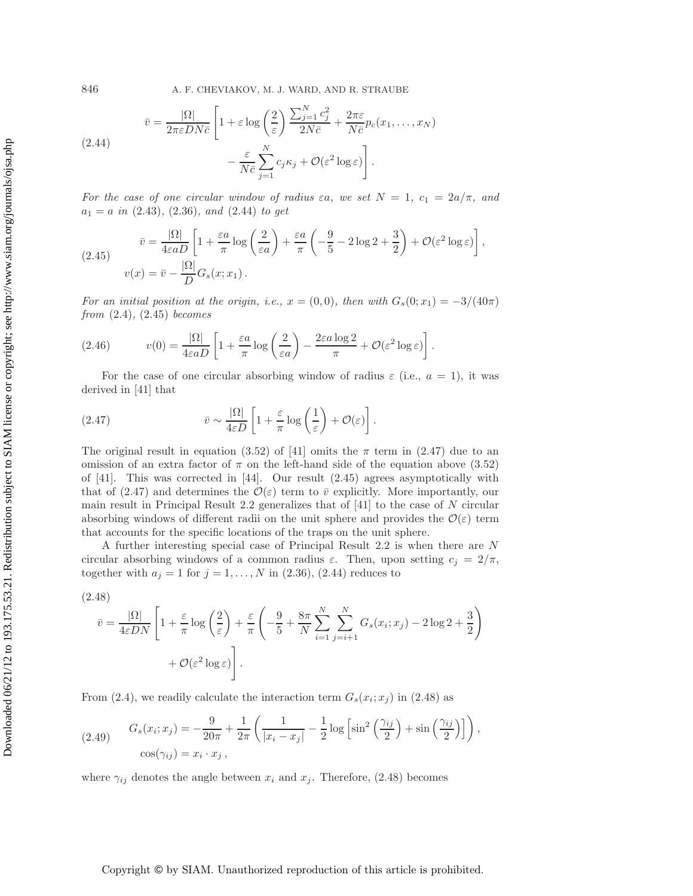(2.44) 
$$
\bar{v} = \frac{|\Omega|}{2\pi\varepsilon DN\bar{c}} \left[ 1 + \varepsilon \log\left(\frac{2}{\varepsilon}\right) \frac{\sum_{j=1}^{N} c_j^2}{2N\bar{c}} + \frac{2\pi\varepsilon}{N\bar{c}} p_c(x_1, \dots, x_N) - \frac{\varepsilon}{N\bar{c}} \sum_{j=1}^{N} c_j \kappa_j + \mathcal{O}(\varepsilon^2 \log \varepsilon) \right].
$$

*For the case of one circular window of radius*  $\varepsilon a$ *, we set*  $N = 1$ *,*  $c_1 = 2a/\pi$ *, and*  $a_1 = a$  *in* (2.43)*,* (2.36)*, and* (2.44) *to get* 

(2.45) 
$$
\bar{v} = \frac{|\Omega|}{4\varepsilon a D} \left[ 1 + \frac{\varepsilon a}{\pi} \log \left( \frac{2}{\varepsilon a} \right) + \frac{\varepsilon a}{\pi} \left( -\frac{9}{5} - 2 \log 2 + \frac{3}{2} \right) + \mathcal{O}(\varepsilon^2 \log \varepsilon) \right],
$$

$$
v(x) = \bar{v} - \frac{|\Omega|}{D} G_s(x; x_1).
$$

*For an initial position at the origin, i.e.,*  $x = (0, 0)$ *, then with*  $G_s(0; x_1) = -3/(40\pi)$ *from* (2.4)*,* (2.45) *becomes*

(2.46) 
$$
v(0) = \frac{|\Omega|}{4\varepsilon a D} \left[ 1 + \frac{\varepsilon a}{\pi} \log \left( \frac{2}{\varepsilon a} \right) - \frac{2\varepsilon a \log 2}{\pi} + \mathcal{O}(\varepsilon^2 \log \varepsilon) \right].
$$

For the case of one circular absorbing window of radius  $\varepsilon$  (i.e.,  $a = 1$ ), it was derived in [41] that

(2.47) 
$$
\bar{v} \sim \frac{|\Omega|}{4\varepsilon D} \left[ 1 + \frac{\varepsilon}{\pi} \log \left( \frac{1}{\varepsilon} \right) + \mathcal{O}(\varepsilon) \right].
$$

The original result in equation (3.52) of [41] omits the  $\pi$  term in (2.47) due to an omission of an extra factor of  $\pi$  on the left-hand side of the equation above (3.52) of [41]. This was corrected in [44]. Our result (2.45) agrees asymptotically with that of (2.47) and determines the  $\mathcal{O}(\varepsilon)$  term to  $\bar{v}$  explicitly. More importantly, our main result in Principal Result 2.2 generalizes that of [41] to the case of N circular absorbing windows of different radii on the unit sphere and provides the  $\mathcal{O}(\varepsilon)$  term that accounts for the specific locations of the traps on the unit sphere.

A further interesting special case of Principal Result 2.2 is when there are N circular absorbing windows of a common radius  $\varepsilon$ . Then, upon setting  $c_j = 2/\pi$ , together with  $a_j = 1$  for  $j = 1, \ldots, N$  in (2.36), (2.44) reduces to

$$
(2.48)
$$

$$
\bar{v} = \frac{|\Omega|}{4\varepsilon DN} \left[ 1 + \frac{\varepsilon}{\pi} \log \left( \frac{2}{\varepsilon} \right) + \frac{\varepsilon}{\pi} \left( -\frac{9}{5} + \frac{8\pi}{N} \sum_{i=1}^{N} \sum_{j=i+1}^{N} G_s(x_i; x_j) - 2\log 2 + \frac{3}{2} \right) + \mathcal{O}(\varepsilon^2 \log \varepsilon) \right].
$$

From (2.4), we readily calculate the interaction term  $G_s(x_i; x_j)$  in (2.48) as

(2.49) 
$$
G_s(x_i; x_j) = -\frac{9}{20\pi} + \frac{1}{2\pi} \left( \frac{1}{|x_i - x_j|} - \frac{1}{2} \log \left[ \sin^2 \left( \frac{\gamma_{ij}}{2} \right) + \sin \left( \frac{\gamma_{ij}}{2} \right) \right] \right),
$$

$$
\cos(\gamma_{ij}) = x_i \cdot x_j,
$$

where  $\gamma_{ij}$  denotes the angle between  $x_i$  and  $x_j$ . Therefore, (2.48) becomes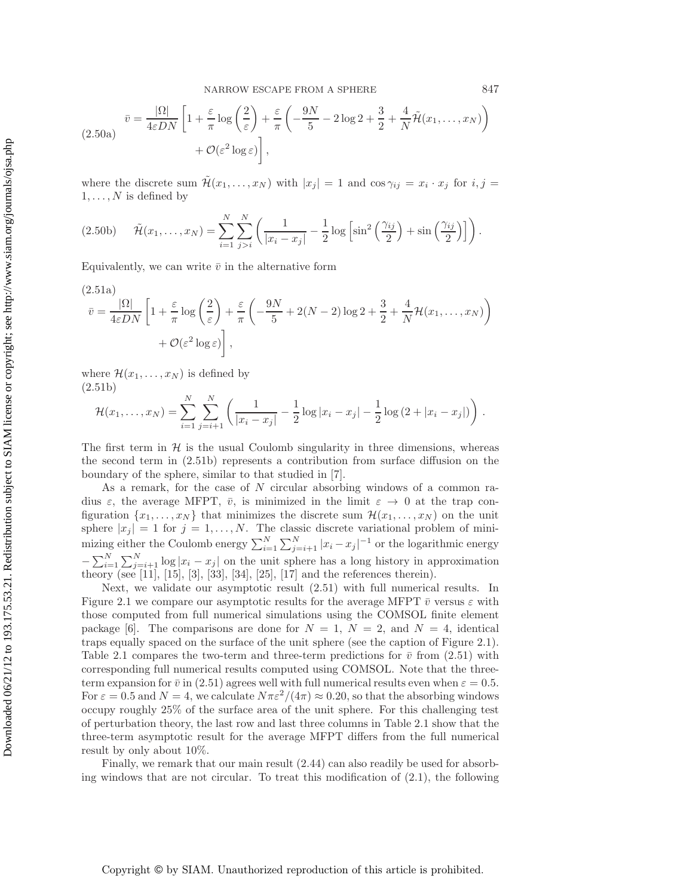NARROW ESCAPE FROM A SPHERE 847

$$
\overline{v} = \frac{|\Omega|}{4\varepsilon DN} \left[ 1 + \frac{\varepsilon}{\pi} \log \left( \frac{2}{\varepsilon} \right) + \frac{\varepsilon}{\pi} \left( -\frac{9N}{5} - 2 \log 2 + \frac{3}{2} + \frac{4}{N} \tilde{\mathcal{H}}(x_1, \dots, x_N) \right) + \mathcal{O}(\varepsilon^2 \log \varepsilon) \right],
$$

where the discrete sum  $\tilde{\mathcal{H}}(x_1,\ldots,x_N)$  with  $|x_j|=1$  and  $\cos\gamma_{ij}=x_i\cdot x_j$  for  $i,j=1$  $1,\ldots,N$  is defined by

$$
(2.50b) \quad \tilde{\mathcal{H}}(x_1,\ldots,x_N) = \sum_{i=1}^N \sum_{j>i}^N \left( \frac{1}{|x_i - x_j|} - \frac{1}{2} \log \left[ \sin^2 \left( \frac{\gamma_{ij}}{2} \right) + \sin \left( \frac{\gamma_{ij}}{2} \right) \right] \right).
$$

Equivalently, we can write  $\bar{v}$  in the alternative form

$$
(2.51a)
$$
  
\n
$$
\bar{v} = \frac{|\Omega|}{4\varepsilon DN} \left[ 1 + \frac{\varepsilon}{\pi} \log \left( \frac{2}{\varepsilon} \right) + \frac{\varepsilon}{\pi} \left( -\frac{9N}{5} + 2(N-2) \log 2 + \frac{3}{2} + \frac{4}{N} \mathcal{H}(x_1, \dots, x_N) \right) + \mathcal{O}(\varepsilon^2 \log \varepsilon) \right],
$$

where  $\mathcal{H}(x_1,\ldots,x_N)$  is defined by (2.51b)

$$
\mathcal{H}(x_1,\ldots,x_N) = \sum_{i=1}^N \sum_{j=i+1}^N \left( \frac{1}{|x_i - x_j|} - \frac{1}{2} \log |x_i - x_j| - \frac{1}{2} \log (2 + |x_i - x_j|) \right).
$$

The first term in  $H$  is the usual Coulomb singularity in three dimensions, whereas the second term in (2.51b) represents a contribution from surface diffusion on the boundary of the sphere, similar to that studied in [7].

As a remark, for the case of N circular absorbing windows of a common radius  $\varepsilon$ , the average MFPT,  $\bar{v}$ , is minimized in the limit  $\varepsilon \to 0$  at the trap configuration  $\{x_1,\ldots,x_N\}$  that minimizes the discrete sum  $\mathcal{H}(x_1,\ldots,x_N)$  on the unit sphere  $|x_j| = 1$  for  $j = 1, \ldots, N$ . The classic discrete variational problem of minimizing either the Coulomb energy  $\sum_{i=1}^{N} \sum_{j=i+1}^{N} |x_i - x_j|^{-1}$  or the logarithmic energy  $-\sum_{i=1}^{N} \sum_{j=i+1}^{N} \log |x_i - x_j|$  on the unit sphere has a long history in approximation theory (see [11], [15], [3], [33], [34], [25], [17] and the references therein).

Next, we validate our asymptotic result (2.51) with full numerical results. In Figure 2.1 we compare our asymptotic results for the average MFPT  $\bar{v}$  versus  $\varepsilon$  with those computed from full numerical simulations using the COMSOL finite element package [6]. The comparisons are done for  $N = 1$ ,  $N = 2$ , and  $N = 4$ , identical traps equally spaced on the surface of the unit sphere (see the caption of Figure 2.1). Table 2.1 compares the two-term and three-term predictions for  $\bar{v}$  from (2.51) with corresponding full numerical results computed using COMSOL. Note that the threeterm expansion for  $\bar{v}$  in (2.51) agrees well with full numerical results even when  $\varepsilon = 0.5$ . For  $\varepsilon = 0.5$  and  $N = 4$ , we calculate  $N\pi\varepsilon^2/(4\pi) \approx 0.20$ , so that the absorbing windows occupy roughly 25% of the surface area of the unit sphere. For this challenging test of perturbation theory, the last row and last three columns in Table 2.1 show that the three-term asymptotic result for the average MFPT differs from the full numerical result by only about 10%.

Finally, we remark that our main result (2.44) can also readily be used for absorbing windows that are not circular. To treat this modification of  $(2.1)$ , the following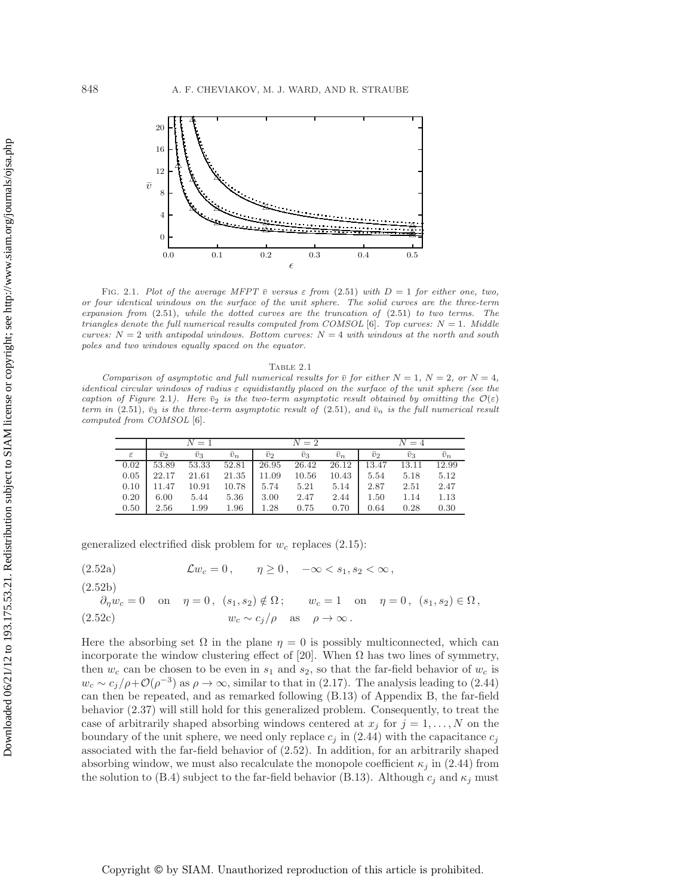

FIG. 2.1. Plot of the average MFPT  $\bar{v}$  versus  $\varepsilon$  from (2.51) with  $D = 1$  for either one, two, or four identical windows on the surface of the unit sphere. The solid curves are the three-term expansion from  $(2.51)$ , while the dotted curves are the truncation of  $(2.51)$  to two terms. The triangles denote the full numerical results computed from COMSOL [6]. Top curves:  $N = 1$ . Middle curves:  $N = 2$  with antipodal windows. Bottom curves:  $N = 4$  with windows at the north and south poles and two windows equally spaced on the equator.

| Table 2.1 |  |
|-----------|--|
|           |  |

Comparison of asymptotic and full numerical results for  $\bar{v}$  for either  $N = 1$ ,  $N = 2$ , or  $N = 4$ , identical circular windows of radius  $\varepsilon$  equidistantly placed on the surface of the unit sphere (see the caption of Figure 2.1). Here  $\bar{v}_2$  is the two-term asymptotic result obtained by omitting the  $\mathcal{O}(\varepsilon)$ term in (2.51),  $\bar{v}_3$  is the three-term asymptotic result of (2.51), and  $\bar{v}_n$  is the full numerical result computed from COMSOL [6].

|               |             | $N=1$       |             |             | $N=2$       |             | $N=4$          |                  |             |  |
|---------------|-------------|-------------|-------------|-------------|-------------|-------------|----------------|------------------|-------------|--|
| $\varepsilon$ | $\bar{v}_2$ | $\bar{v}_3$ | $\bar{v}_n$ | $\bar{v}_2$ | $\bar{v}_3$ | $\bar{v}_n$ | $\overline{v}$ | $\overline{v}_3$ | $\bar{v}_n$ |  |
| 0.02          | 53.89       | 53.33       | 52.81       | 26.95       | 26.42       | 26.12       | 13.47          | 13.11            | 12.99       |  |
| 0.05          | 22.17       | 21.61       | 21.35       | 11.09       | 10.56       | 10.43       | 5.54           | 5.18             | 5.12        |  |
| 0.10          | 11.47       | 10.91       | 10.78       | 5.74        | 5.21        | 5.14        | 2.87           | 2.51             | 2.47        |  |
| 0.20          | 6.00        | 5.44        | 5.36        | 3.00        | 2.47        | 2.44        | 1.50           | 1.14             | 1.13        |  |
| 0.50          | 2.56        | 1.99        | 1.96        | 1.28        | 0.75        | 0.70        | 0.64           | 0.28             | 0.30        |  |

generalized electrified disk problem for  $w_c$  replaces (2.15):

(2.52a) 
$$
\mathcal{L}w_c = 0, \quad \eta \ge 0, \quad -\infty < s_1, s_2 < \infty,
$$

(2.52b)

$$
\partial_{\eta} w_c = 0 \quad \text{on} \quad \eta = 0, \ (s_1, s_2) \notin \Omega; \qquad w_c = 1 \quad \text{on} \quad \eta = 0, \ (s_1, s_2) \in \Omega,
$$
  

$$
(2.52c) \qquad w_c \sim c_j/\rho \quad \text{as} \quad \rho \to \infty.
$$

Here the absorbing set  $\Omega$  in the plane  $\eta = 0$  is possibly multiconnected, which can incorporate the window clustering effect of [20]. When  $\Omega$  has two lines of symmetry, then  $w_c$  can be chosen to be even in  $s_1$  and  $s_2$ , so that the far-field behavior of  $w_c$  is  $w_c \sim c_i/\rho + \mathcal{O}(\rho^{-3})$  as  $\rho \to \infty$ , similar to that in (2.17). The analysis leading to (2.44) can then be repeated, and as remarked following (B.13) of Appendix B, the far-field behavior (2.37) will still hold for this generalized problem. Consequently, to treat the case of arbitrarily shaped absorbing windows centered at  $x_j$  for  $j = 1, \ldots, N$  on the boundary of the unit sphere, we need only replace  $c_j$  in (2.44) with the capacitance  $c_j$ associated with the far-field behavior of (2.52). In addition, for an arbitrarily shaped absorbing window, we must also recalculate the monopole coefficient  $\kappa_j$  in (2.44) from the solution to (B.4) subject to the far-field behavior (B.13). Although  $c_j$  and  $\kappa_j$  must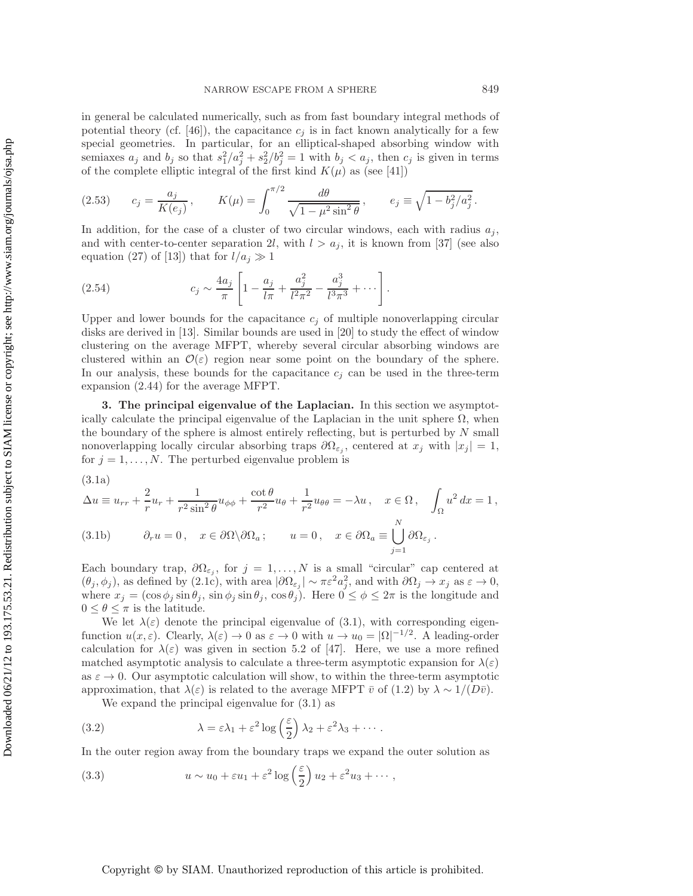in general be calculated numerically, such as from fast boundary integral methods of potential theory (cf. [46]), the capacitance  $c_j$  is in fact known analytically for a few special geometries. In particular, for an elliptical-shaped absorbing window with semiaxes  $a_j$  and  $b_j$  so that  $s_1^2/a_j^2 + s_2^2/b_j^2 = 1$  with  $b_j < a_j$ , then  $c_j$  is given in terms of the complete elliptic integral of the first kind  $K(\mu)$  as (see [41])

(2.53) 
$$
c_j = \frac{a_j}{K(e_j)}, \qquad K(\mu) = \int_0^{\pi/2} \frac{d\theta}{\sqrt{1 - \mu^2 \sin^2 \theta}}, \qquad e_j \equiv \sqrt{1 - b_j^2 / a_j^2}.
$$

In addition, for the case of a cluster of two circular windows, each with radius  $a_j$ , and with center-to-center separation 2l, with  $l > a_j$ , it is known from [37] (see also equation (27) of [13]) that for  $l/a_j \gg 1$ 

(2.54) 
$$
c_j \sim \frac{4a_j}{\pi} \left[ 1 - \frac{a_j}{l\pi} + \frac{a_j^2}{l^2 \pi^2} - \frac{a_j^3}{l^3 \pi^3} + \cdots \right].
$$

Upper and lower bounds for the capacitance  $c_j$  of multiple nonoverlapping circular disks are derived in [13]. Similar bounds are used in [20] to study the effect of window clustering on the average MFPT, whereby several circular absorbing windows are clustered within an  $\mathcal{O}(\varepsilon)$  region near some point on the boundary of the sphere. In our analysis, these bounds for the capacitance  $c_i$  can be used in the three-term expansion (2.44) for the average MFPT.

**3. The principal eigenvalue of the Laplacian.** In this section we asymptotically calculate the principal eigenvalue of the Laplacian in the unit sphere  $\Omega$ , when the boundary of the sphere is almost entirely reflecting, but is perturbed by  $N$  small nonoverlapping locally circular absorbing traps  $\partial\Omega_{\varepsilon_i}$ , centered at  $x_j$  with  $|x_j|=1$ , for  $j = 1, \ldots, N$ . The perturbed eigenvalue problem is

$$
(3.1a)
$$

$$
\Delta u \equiv u_{rr} + \frac{2}{r} u_r + \frac{1}{r^2 \sin^2 \theta} u_{\phi\phi} + \frac{\cot \theta}{r^2} u_{\theta} + \frac{1}{r^2} u_{\theta\theta} = -\lambda u, \quad x \in \Omega, \quad \int_{\Omega} u^2 dx = 1,
$$
  
(3.1b) 
$$
\partial_r u = 0, \quad x \in \partial\Omega \backslash \partial\Omega_a; \qquad u = 0, \quad x \in \partial\Omega_a \equiv \bigcup_{j=1}^N \partial\Omega_{\varepsilon_j}.
$$

Each boundary trap,  $\partial\Omega_{\varepsilon_i}$ , for  $j=1,\ldots,N$  is a small "circular" cap centered at  $(\theta_j, \phi_j)$ , as defined by (2.1c), with area  $|\partial \Omega_{\varepsilon_j}| \sim \pi \varepsilon^2 a_j^2$ , and with  $\partial \Omega_j \to x_j$  as  $\varepsilon \to 0$ , where  $x_j = (\cos \phi_j \sin \theta_j, \sin \phi_j \sin \theta_j, \cos \theta_j)$ . Here  $0 \le \phi \le 2\pi$  is the longitude and  $0 \leq \theta \leq \pi$  is the latitude.

We let  $\lambda(\varepsilon)$  denote the principal eigenvalue of (3.1), with corresponding eigenfunction  $u(x,\varepsilon)$ . Clearly,  $\lambda(\varepsilon) \to 0$  as  $\varepsilon \to 0$  with  $u \to u_0 = |\Omega|^{-1/2}$ . A leading-order calculation for  $\lambda(\varepsilon)$  was given in section 5.2 of [47]. Here, we use a more refined matched asymptotic analysis to calculate a three-term asymptotic expansion for  $\lambda(\varepsilon)$ as  $\varepsilon \to 0$ . Our asymptotic calculation will show, to within the three-term asymptotic approximation, that  $\lambda(\varepsilon)$  is related to the average MFPT  $\bar{v}$  of (1.2) by  $\lambda \sim 1/(D\bar{v})$ .

We expand the principal eigenvalue for (3.1) as

(3.2) 
$$
\lambda = \varepsilon \lambda_1 + \varepsilon^2 \log \left( \frac{\varepsilon}{2} \right) \lambda_2 + \varepsilon^2 \lambda_3 + \cdots
$$

In the outer region away from the boundary traps we expand the outer solution as

(3.3) 
$$
u \sim u_0 + \varepsilon u_1 + \varepsilon^2 \log\left(\frac{\varepsilon}{2}\right) u_2 + \varepsilon^2 u_3 + \cdots,
$$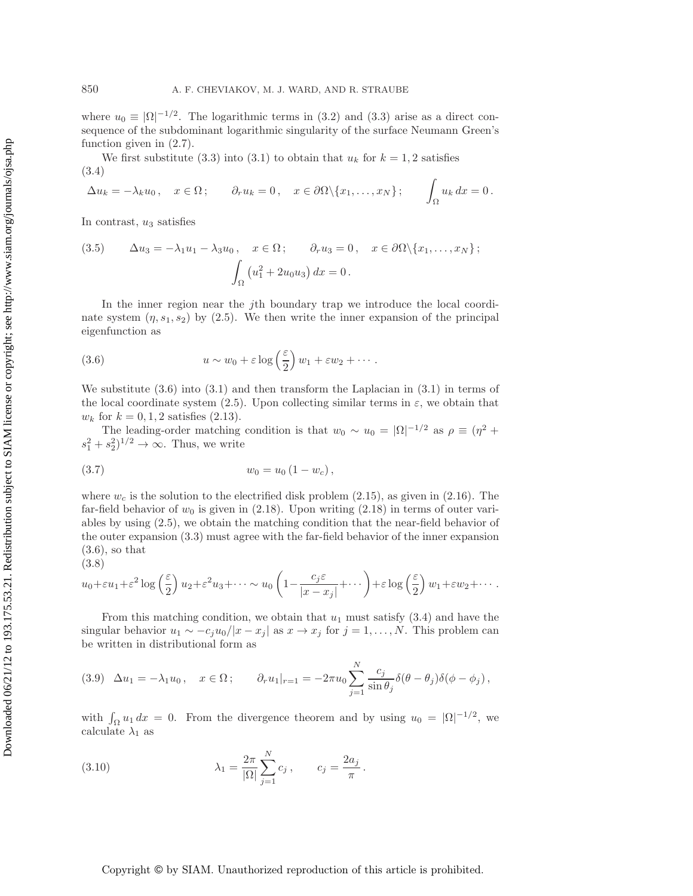where  $u_0 \equiv |\Omega|^{-1/2}$ . The logarithmic terms in (3.2) and (3.3) arise as a direct consequence of the subdominant logarithmic singularity of the surface Neumann Green's function given in (2.7).

We first substitute (3.3) into (3.1) to obtain that  $u_k$  for  $k = 1, 2$  satisfies (3.4)

$$
\Delta u_k = -\lambda_k u_0, \quad x \in \Omega; \qquad \partial_r u_k = 0, \quad x \in \partial\Omega \setminus \{x_1, \ldots, x_N\}; \qquad \int_{\Omega} u_k dx = 0.
$$

In contrast,  $u_3$  satisfies

(3.5) 
$$
\Delta u_3 = -\lambda_1 u_1 - \lambda_3 u_0, \quad x \in \Omega; \quad \partial_r u_3 = 0, \quad x \in \partial\Omega \setminus \{x_1, \dots, x_N\};
$$

$$
\int_{\Omega} (u_1^2 + 2u_0 u_3) dx = 0.
$$

In the inner region near the jth boundary trap we introduce the local coordinate system  $(\eta, s_1, s_2)$  by (2.5). We then write the inner expansion of the principal eigenfunction as

(3.6) 
$$
u \sim w_0 + \varepsilon \log \left(\frac{\varepsilon}{2}\right) w_1 + \varepsilon w_2 + \cdots.
$$

We substitute  $(3.6)$  into  $(3.1)$  and then transform the Laplacian in  $(3.1)$  in terms of the local coordinate system (2.5). Upon collecting similar terms in  $\varepsilon$ , we obtain that  $w_k$  for  $k = 0, 1, 2$  satisfies (2.13).

The leading-order matching condition is that  $w_0 \sim u_0 = |\Omega|^{-1/2}$  as  $\rho \equiv (\eta^2 + \eta^2)$  $s_1^2 + s_2^2$ <sup>1/2</sup>  $\rightarrow \infty$ . Thus, we write

$$
(3.7) \t\t w_0 = u_0 (1 - w_c),
$$

where  $w_c$  is the solution to the electrified disk problem (2.15), as given in (2.16). The far-field behavior of  $w_0$  is given in (2.18). Upon writing (2.18) in terms of outer variables by using (2.5), we obtain the matching condition that the near-field behavior of the outer expansion (3.3) must agree with the far-field behavior of the inner expansion  $(3.6)$ , so that

$$
u_0 + \varepsilon u_1 + \varepsilon^2 \log\left(\frac{\varepsilon}{2}\right) u_2 + \varepsilon^2 u_3 + \cdots \sim u_0 \left(1 - \frac{c_j \varepsilon}{|x - x_j|} + \cdots\right) + \varepsilon \log\left(\frac{\varepsilon}{2}\right) w_1 + \varepsilon w_2 + \cdots.
$$

From this matching condition, we obtain that  $u_1$  must satisfy (3.4) and have the singular behavior  $u_1 \sim -c_j u_0/|x - x_j|$  as  $x \to x_j$  for  $j = 1, ..., N$ . This problem can be written in distributional form as

$$
(3.9) \quad \Delta u_1 = -\lambda_1 u_0 \,, \quad x \in \Omega \,; \qquad \partial_r u_1|_{r=1} = -2\pi u_0 \sum_{j=1}^N \frac{c_j}{\sin \theta_j} \delta(\theta - \theta_j) \delta(\phi - \phi_j) \,,
$$

with  $\int_{\Omega} u_1 dx = 0$ . From the divergence theorem and by using  $u_0 = |\Omega|^{-1/2}$ , we calculate  $\lambda_1$  as

(3.10) 
$$
\lambda_1 = \frac{2\pi}{|\Omega|} \sum_{j=1}^N c_j, \qquad c_j = \frac{2a_j}{\pi}.
$$

### Copyright © by SIAM. Unauthorized reproduction of this article is prohibited.

(3.8)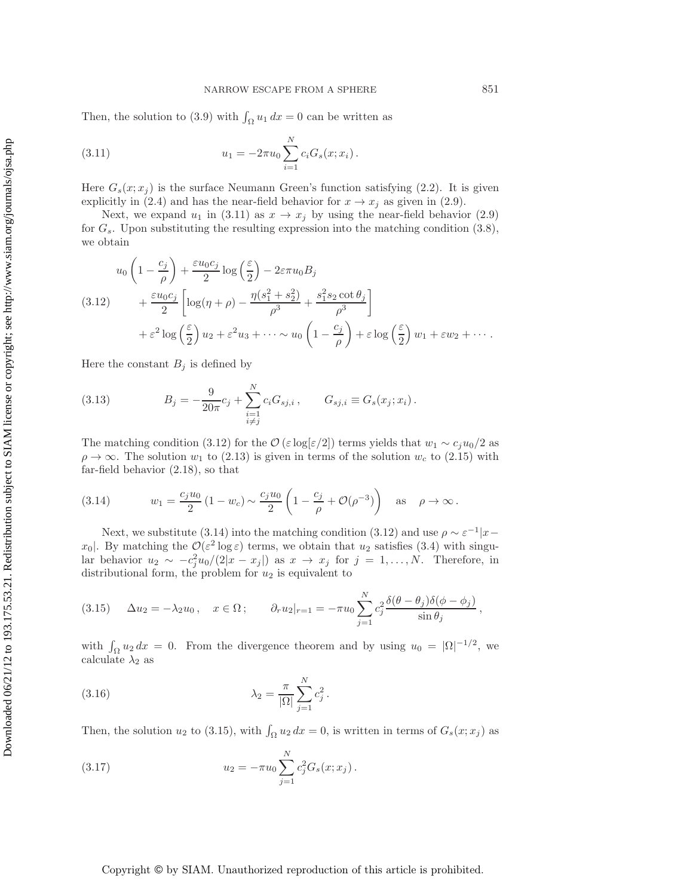Then, the solution to (3.9) with  $\int_{\Omega} u_1 dx = 0$  can be written as

(3.11) 
$$
u_1 = -2\pi u_0 \sum_{i=1}^N c_i G_s(x; x_i).
$$

Here  $G_s(x; x_i)$  is the surface Neumann Green's function satisfying (2.2). It is given explicitly in (2.4) and has the near-field behavior for  $x \to x_i$  as given in (2.9).

Next, we expand  $u_1$  in (3.11) as  $x \to x_j$  by using the near-field behavior (2.9) for  $G_s$ . Upon substituting the resulting expression into the matching condition  $(3.8)$ , we obtain

$$
u_0 \left(1 - \frac{c_j}{\rho}\right) + \frac{\varepsilon u_0 c_j}{2} \log\left(\frac{\varepsilon}{2}\right) - 2\varepsilon \pi u_0 B_j
$$
  
(3.12) 
$$
+ \frac{\varepsilon u_0 c_j}{2} \left[ \log(\eta + \rho) - \frac{\eta(s_1^2 + s_2^2)}{\rho^3} + \frac{s_1^2 s_2 \cot \theta_j}{\rho^3} \right]
$$

$$
+ \varepsilon^2 \log\left(\frac{\varepsilon}{2}\right) u_2 + \varepsilon^2 u_3 + \dots \sim u_0 \left(1 - \frac{c_j}{\rho}\right) + \varepsilon \log\left(\frac{\varepsilon}{2}\right) w_1 + \varepsilon w_2 + \dots
$$

Here the constant  $B_j$  is defined by

(3.13) 
$$
B_j = -\frac{9}{20\pi}c_j + \sum_{\substack{i=1\\i\neq j}}^N c_i G_{sj,i}, \qquad G_{sj,i} \equiv G_s(x_j; x_i).
$$

The matching condition (3.12) for the  $\mathcal{O}(\varepsilon \log|\varepsilon/2|)$  terms yields that  $w_1 \sim c_j u_0/2$  as  $\rho \to \infty$ . The solution  $w_1$  to (2.13) is given in terms of the solution  $w_c$  to (2.15) with far-field behavior (2.18), so that

(3.14) 
$$
w_1 = \frac{c_j u_0}{2} (1 - w_c) \sim \frac{c_j u_0}{2} \left( 1 - \frac{c_j}{\rho} + \mathcal{O}(\rho^{-3}) \right)
$$
 as  $\rho \to \infty$ .

Next, we substitute (3.14) into the matching condition (3.12) and use  $\rho \sim \varepsilon^{-1}|x-\rangle$ x<sub>0</sub>. By matching the  $\mathcal{O}(\varepsilon^2 \log \varepsilon)$  terms, we obtain that  $u_2$  satisfies (3.4) with singular behavior  $u_2 \sim -c_j^2 u_0/(2|x-x_j|)$  as  $x \to x_j$  for  $j=1,\ldots,N$ . Therefore, in distributional form, the problem for  $u_2$  is equivalent to

(3.15) 
$$
\Delta u_2 = -\lambda_2 u_0, \quad x \in \Omega; \qquad \partial_r u_2|_{r=1} = -\pi u_0 \sum_{j=1}^N c_j^2 \frac{\delta(\theta - \theta_j)\delta(\phi - \phi_j)}{\sin \theta_j},
$$

with  $\int_{\Omega} u_2 dx = 0$ . From the divergence theorem and by using  $u_0 = |\Omega|^{-1/2}$ , we calculate  $\lambda_2$  as

(3.16) 
$$
\lambda_2 = \frac{\pi}{|\Omega|} \sum_{j=1}^N c_j^2.
$$

Then, the solution  $u_2$  to (3.15), with  $\int_{\Omega} u_2 dx = 0$ , is written in terms of  $G_s(x; x_j)$  as

(3.17) 
$$
u_2 = -\pi u_0 \sum_{j=1}^N c_j^2 G_s(x; x_j).
$$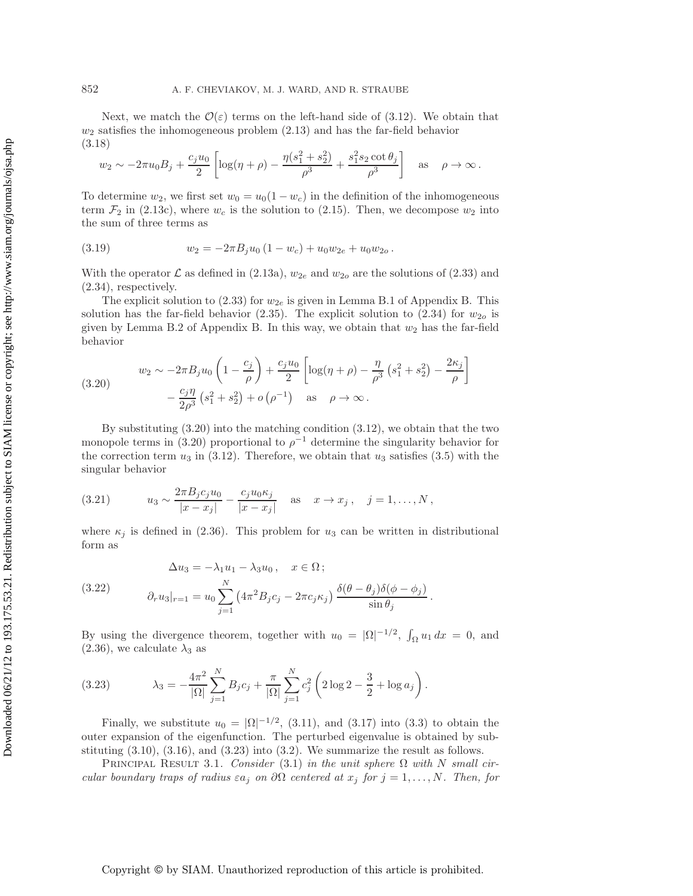Next, we match the  $\mathcal{O}(\varepsilon)$  terms on the left-hand side of (3.12). We obtain that  $w_2$  satisfies the inhomogeneous problem  $(2.13)$  and has the far-field behavior (3.18)

$$
w_2 \sim -2\pi u_0 B_j + \frac{c_j u_0}{2} \left[ \log(\eta + \rho) - \frac{\eta(s_1^2 + s_2^2)}{\rho^3} + \frac{s_1^2 s_2 \cot \theta_j}{\rho^3} \right]
$$
 as  $\rho \to \infty$ .

To determine  $w_2$ , we first set  $w_0 = u_0(1 - w_c)$  in the definition of the inhomogeneous term  $\mathcal{F}_2$  in (2.13c), where  $w_c$  is the solution to (2.15). Then, we decompose  $w_2$  into the sum of three terms as

(3.19) 
$$
w_2 = -2\pi B_j u_0 (1 - w_c) + u_0 w_{2e} + u_0 w_{2o}.
$$

With the operator  $\mathcal L$  as defined in (2.13a),  $w_{2e}$  and  $w_{2o}$  are the solutions of (2.33) and (2.34), respectively.

The explicit solution to (2.33) for  $w_{2e}$  is given in Lemma B.1 of Appendix B. This solution has the far-field behavior (2.35). The explicit solution to (2.34) for  $w_{2o}$  is given by Lemma B.2 of Appendix B. In this way, we obtain that  $w_2$  has the far-field behavior

(3.20) 
$$
w_2 \sim -2\pi B_j u_0 \left(1 - \frac{c_j}{\rho}\right) + \frac{c_j u_0}{2} \left[ \log(\eta + \rho) - \frac{\eta}{\rho^3} \left(s_1^2 + s_2^2\right) - \frac{2\kappa_j}{\rho} \right] - \frac{c_j \eta}{2\rho^3} \left(s_1^2 + s_2^2\right) + o\left(\rho^{-1}\right) \quad \text{as} \quad \rho \to \infty.
$$

By substituting (3.20) into the matching condition (3.12), we obtain that the two monopole terms in (3.20) proportional to  $\rho^{-1}$  determine the singularity behavior for the correction term  $u_3$  in (3.12). Therefore, we obtain that  $u_3$  satisfies (3.5) with the singular behavior

(3.21) 
$$
u_3 \sim \frac{2\pi B_j c_j u_0}{|x - x_j|} - \frac{c_j u_0 \kappa_j}{|x - x_j|} \quad \text{as} \quad x \to x_j, \quad j = 1, ..., N,
$$

where  $\kappa_j$  is defined in (2.36). This problem for  $u_3$  can be written in distributional form as

(3.22) 
$$
\Delta u_3 = -\lambda_1 u_1 - \lambda_3 u_0, \quad x \in \Omega;
$$

$$
\partial_r u_3|_{r=1} = u_0 \sum_{j=1}^N \left(4\pi^2 B_j c_j - 2\pi c_j \kappa_j\right) \frac{\delta(\theta - \theta_j)\delta(\phi - \phi_j)}{\sin \theta_j}.
$$

By using the divergence theorem, together with  $u_0 = |\Omega|^{-1/2}$ ,  $\int_{\Omega} u_1 dx = 0$ , and  $(2.36)$ , we calculate  $\lambda_3$  as

(3.23) 
$$
\lambda_3 = -\frac{4\pi^2}{|\Omega|} \sum_{j=1}^N B_j c_j + \frac{\pi}{|\Omega|} \sum_{j=1}^N c_j^2 \left(2 \log 2 - \frac{3}{2} + \log a_j\right).
$$

Finally, we substitute  $u_0 = |\Omega|^{-1/2}$ , (3.11), and (3.17) into (3.3) to obtain the outer expansion of the eigenfunction. The perturbed eigenvalue is obtained by substituting  $(3.10)$ ,  $(3.16)$ , and  $(3.23)$  into  $(3.2)$ . We summarize the result as follows.

Principal Result 3.1. *Consider* (3.1) *in the unit sphere* Ω *with* N *small circular boundary traps of radius*  $\varepsilon a_j$  *on*  $\partial\Omega$  *centered at*  $x_j$  *for*  $j = 1, \ldots, N$ *. Then, for*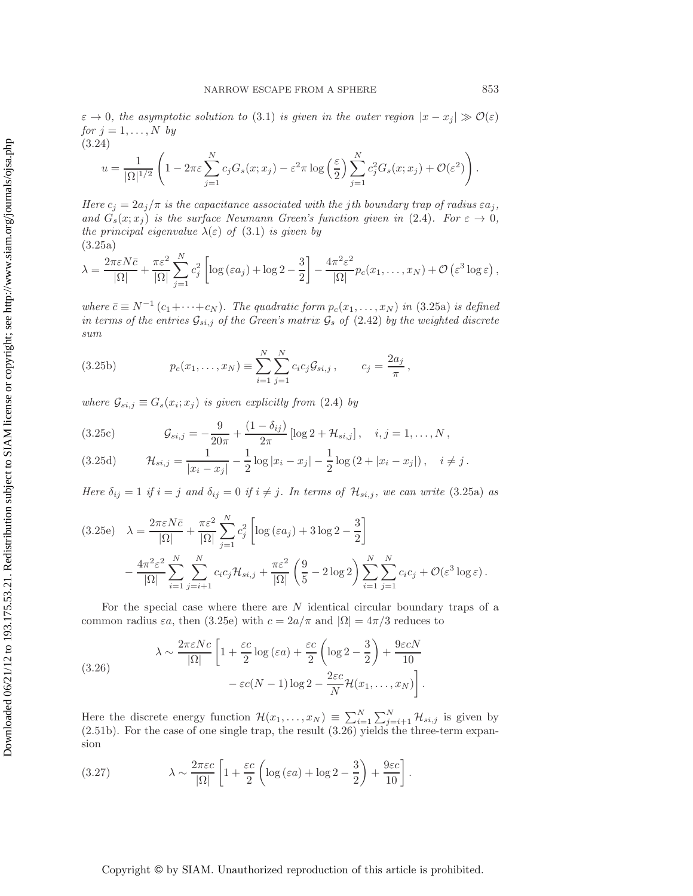$\varepsilon \to 0$ , the asymptotic solution to (3.1) is given in the outer region  $|x - x_j| \gg \mathcal{O}(\varepsilon)$ *for*  $j = 1, \ldots, N$  *by* (3.24)

$$
u = \frac{1}{|\Omega|^{1/2}} \left( 1 - 2\pi\varepsilon \sum_{j=1}^N c_j G_s(x; x_j) - \varepsilon^2 \pi \log\left(\frac{\varepsilon}{2}\right) \sum_{j=1}^N c_j^2 G_s(x; x_j) + \mathcal{O}(\varepsilon^2) \right).
$$

*Here*  $c_j = 2a_j/\pi$  *is the capacitance associated with the jth boundary trap of radius*  $\epsilon a_j$ , *and*  $G_s(x; x_i)$  *is the surface Neumann Green's function given in* (2.4)*. For*  $\varepsilon \to 0$ *, the principal eigenvalue*  $\lambda(\varepsilon)$  *of* (3.1) *is given by* (3.25a)

$$
\lambda = \frac{2\pi\varepsilon N\bar{c}}{|\Omega|} + \frac{\pi\varepsilon^2}{|\Omega|} \sum_{j=1}^N c_j^2 \left[ \log\left(\varepsilon a_j\right) + \log 2 - \frac{3}{2} \right] - \frac{4\pi^2\varepsilon^2}{|\Omega|} p_c(x_1,\ldots,x_N) + \mathcal{O}\left(\varepsilon^3 \log \varepsilon\right),
$$

*where*  $\bar{c} \equiv N^{-1}(c_1 + \cdots + c_N)$ *. The quadratic form*  $p_c(x_1, \ldots, x_N)$  *in* (3.25a) *is defined in terms of the entries*  $\mathcal{G}_{si,j}$  *of the Green's matrix*  $\mathcal{G}_s$  *of* (2.42) *by the weighted discrete sum*

(3.25b) 
$$
p_c(x_1,...,x_N) \equiv \sum_{i=1}^N \sum_{j=1}^N c_i c_j \mathcal{G}_{s i,j}, \qquad c_j = \frac{2a_j}{\pi},
$$

*where*  $\mathcal{G}_{si,j} \equiv G_s(x_i; x_j)$  *is given explicitly from* (2.4) *by* 

(3.25c) 
$$
\mathcal{G}_{si,j} = -\frac{9}{20\pi} + \frac{(1-\delta_{ij})}{2\pi} \left[ \log 2 + \mathcal{H}_{si,j} \right], \quad i,j = 1,\ldots,N,
$$

(3.25d) 
$$
\mathcal{H}_{si,j} = \frac{1}{|x_i - x_j|} - \frac{1}{2} \log |x_i - x_j| - \frac{1}{2} \log (2 + |x_i - x_j|), \quad i \neq j.
$$

*Here*  $\delta_{ij} = 1$  *if*  $i = j$  *and*  $\delta_{ij} = 0$  *if*  $i \neq j$ *. In terms of*  $\mathcal{H}_{si,j}$ *, we can write* (3.25a) *as* 

$$
(3.25e) \quad \lambda = \frac{2\pi\varepsilon N\bar{c}}{|\Omega|} + \frac{\pi\varepsilon^2}{|\Omega|} \sum_{j=1}^N c_j^2 \left[ \log\left(\varepsilon a_j\right) + 3\log 2 - \frac{3}{2} \right] - \frac{4\pi^2\varepsilon^2}{|\Omega|} \sum_{i=1}^N \sum_{j=i+1}^N c_i c_j \mathcal{H}_{s i,j} + \frac{\pi\varepsilon^2}{|\Omega|} \left( \frac{9}{5} - 2\log 2 \right) \sum_{i=1}^N \sum_{j=1}^N c_i c_j + \mathcal{O}(\varepsilon^3 \log \varepsilon).
$$

For the special case where there are  $N$  identical circular boundary traps of a common radius  $\varepsilon a$ , then (3.25e) with  $c = 2a/\pi$  and  $|\Omega| = 4\pi/3$  reduces to

(3.26) 
$$
\lambda \sim \frac{2\pi \varepsilon Nc}{|\Omega|} \left[ 1 + \frac{\varepsilon c}{2} \log(\varepsilon a) + \frac{\varepsilon c}{2} \left( \log 2 - \frac{3}{2} \right) + \frac{9\varepsilon cN}{10} - \varepsilon c(N-1) \log 2 - \frac{2\varepsilon c}{N} \mathcal{H}(x_1, \dots, x_N) \right].
$$

Here the discrete energy function  $\mathcal{H}(x_1,\ldots,x_N) \equiv \sum_{i=1}^N \sum_{j=i+1}^N \mathcal{H}_{s i,j}$  is given by (2.51b). For the case of one single trap, the result (3.26) yields the three-term expansion

(3.27) 
$$
\lambda \sim \frac{2\pi\varepsilon c}{|\Omega|} \left[ 1 + \frac{\varepsilon c}{2} \left( \log \left( \varepsilon a \right) + \log 2 - \frac{3}{2} \right) + \frac{9\varepsilon c}{10} \right].
$$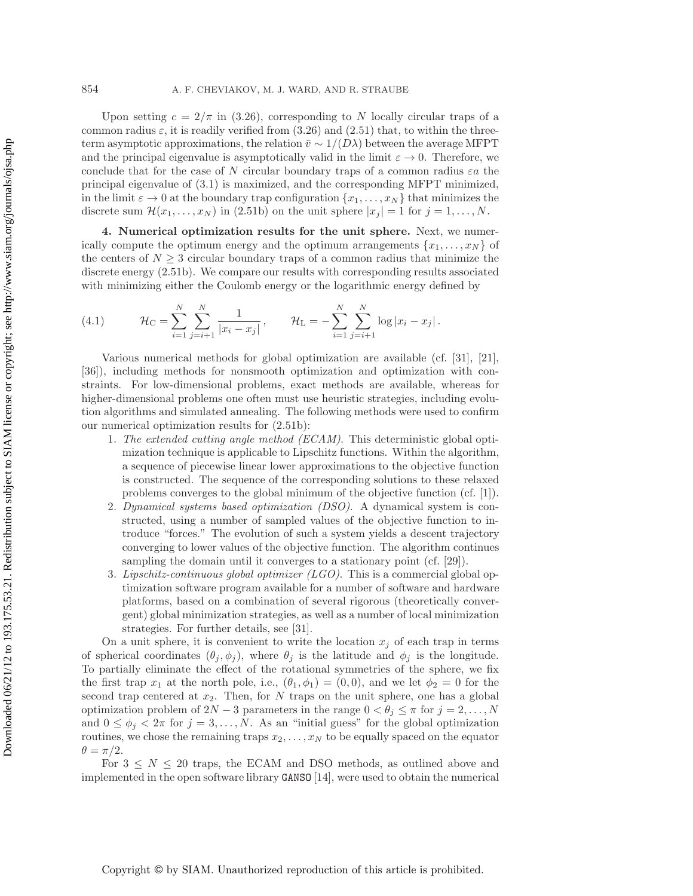Upon setting  $c = 2/\pi$  in (3.26), corresponding to N locally circular traps of a common radius  $\varepsilon$ , it is readily verified from (3.26) and (2.51) that, to within the threeterm asymptotic approximations, the relation  $\bar{v} \sim 1/(D\lambda)$  between the average MFPT and the principal eigenvalue is asymptotically valid in the limit  $\varepsilon \to 0$ . Therefore, we conclude that for the case of N circular boundary traps of a common radius  $\varepsilon a$  the principal eigenvalue of (3.1) is maximized, and the corresponding MFPT minimized, in the limit  $\varepsilon \to 0$  at the boundary trap configuration  $\{x_1, \ldots, x_N\}$  that minimizes the discrete sum  $\mathcal{H}(x_1,\ldots,x_N)$  in (2.51b) on the unit sphere  $|x_j|=1$  for  $j=1,\ldots,N$ .

**4. Numerical optimization results for the unit sphere.** Next, we numerically compute the optimum energy and the optimum arrangements  $\{x_1, \ldots, x_N\}$  of the centers of  $N \geq 3$  circular boundary traps of a common radius that minimize the discrete energy (2.51b). We compare our results with corresponding results associated with minimizing either the Coulomb energy or the logarithmic energy defined by

(4.1) 
$$
\mathcal{H}_{C} = \sum_{i=1}^{N} \sum_{j=i+1}^{N} \frac{1}{|x_i - x_j|}, \qquad \mathcal{H}_{L} = -\sum_{i=1}^{N} \sum_{j=i+1}^{N} \log |x_i - x_j|.
$$

Various numerical methods for global optimization are available (cf. [31], [21], [36]), including methods for nonsmooth optimization and optimization with constraints. For low-dimensional problems, exact methods are available, whereas for higher-dimensional problems one often must use heuristic strategies, including evolution algorithms and simulated annealing. The following methods were used to confirm our numerical optimization results for (2.51b):

- 1. *The extended cutting angle method (ECAM)*. This deterministic global optimization technique is applicable to Lipschitz functions. Within the algorithm, a sequence of piecewise linear lower approximations to the objective function is constructed. The sequence of the corresponding solutions to these relaxed problems converges to the global minimum of the objective function (cf. [1]).
- 2. *Dynamical systems based optimization (DSO)*. A dynamical system is constructed, using a number of sampled values of the objective function to introduce "forces." The evolution of such a system yields a descent trajectory converging to lower values of the objective function. The algorithm continues sampling the domain until it converges to a stationary point (cf. [29]).
- 3. *Lipschitz-continuous global optimizer (LGO)*. This is a commercial global optimization software program available for a number of software and hardware platforms, based on a combination of several rigorous (theoretically convergent) global minimization strategies, as well as a number of local minimization strategies. For further details, see [31].

On a unit sphere, it is convenient to write the location  $x_j$  of each trap in terms of spherical coordinates  $(\theta_j, \phi_j)$ , where  $\theta_j$  is the latitude and  $\phi_j$  is the longitude. To partially eliminate the effect of the rotational symmetries of the sphere, we fix the first trap  $x_1$  at the north pole, i.e.,  $(\theta_1, \phi_1) = (0, 0)$ , and we let  $\phi_2 = 0$  for the second trap centered at  $x_2$ . Then, for  $N$  traps on the unit sphere, one has a global optimization problem of  $2N-3$  parameters in the range  $0 < \theta_j \leq \pi$  for  $j = 2, \ldots, N$ and  $0 \le \phi_j < 2\pi$  for  $j = 3, ..., N$ . As an "initial guess" for the global optimization routines, we chose the remaining traps  $x_2, \ldots, x_N$  to be equally spaced on the equator  $\theta = \pi/2.$ 

For  $3 \leq N \leq 20$  traps, the ECAM and DSO methods, as outlined above and implemented in the open software library GANSO [14], were used to obtain the numerical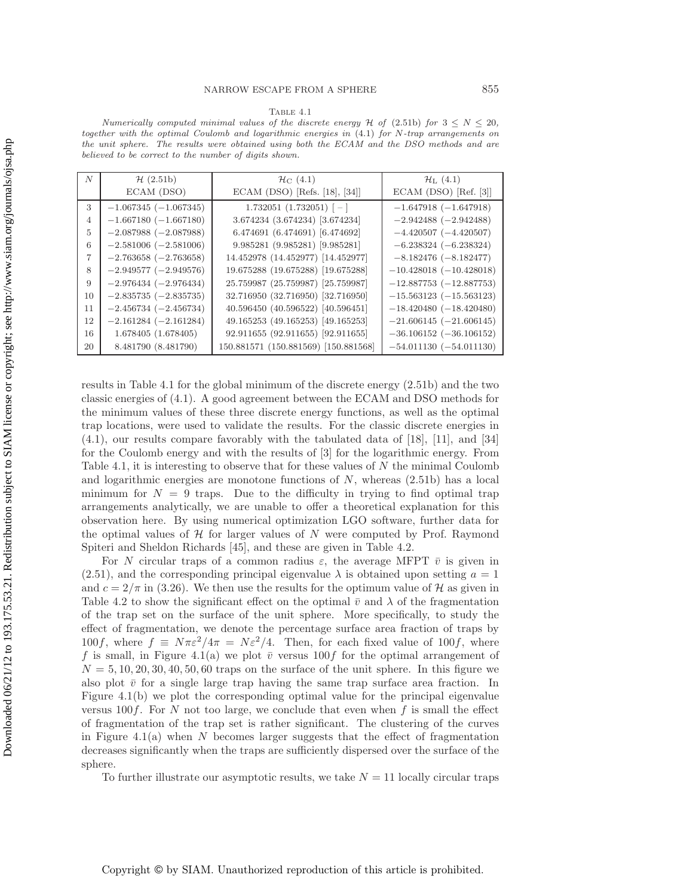|--|

Numerically computed minimal values of the discrete energy  $\mathcal H$  of (2.51b) for  $3 \leq N \leq 20$ , together with the optimal Coulomb and logarithmic energies in (4.1) for N-trap arrangements on the unit sphere. The results were obtained using both the ECAM and the DSO methods and are believed to be correct to the number of digits shown.

| $\boldsymbol{N}$ | H(2.51b)                | $\mathcal{H}_{\rm C}$ (4.1)              | $\mathcal{H}_{\rm L}$ (4.1)   |
|------------------|-------------------------|------------------------------------------|-------------------------------|
|                  | ECAM (DSO)              | ECAM (DSO) [Refs. [18], [34]]            | ECAM (DSO) [Ref. $[3]$ ]      |
| 3                | $-1.067345(-1.067345)$  | $1.732051$ $(1.732051)$ $\left[-\right]$ | $-1.647918$ ( $-1.647918$ )   |
| 4                | $-1.667180(-1.667180)$  | 3.674234 (3.674234) [3.674234]           | $-2.942488(-2.942488)$        |
| 5                | $-2.087988(-2.087988)$  | 6.474691 (6.474691) [6.474692]           | $-4.420507$ $(-4.420507)$     |
| 6                | $-2.581006(-2.581006)$  | 9.985281 (9.985281) [9.985281]           | $-6.238324 (-6.238324)$       |
| 7                | $-2.763658 (-2.763658)$ | 14.452978 (14.452977) [14.452977]        | $-8.182476(-8.182477)$        |
| 8                | $-2.949577(-2.949576)$  | 19.675288 (19.675288) [19.675288]        | $-10.428018$ $(-10.428018)$   |
| 9                | $-2.976434(-2.976434)$  | 25.759987 (25.759987) [25.759987]        | $-12.887753(-12.887753)$      |
| 10               | $-2.835735 (-2.835735)$ | 32.716950 (32.716950) [32.716950]        | $-15.563123$ ( $-15.563123$ ) |
| 11               | $-2.456734 (-2.456734)$ | 40.596450 (40.596522) [40.596451]        | $-18.420480 (-18.420480)$     |
| 12               | $-2.161284 (-2.161284)$ | 49.165253 (49.165253) [49.165253]        | $-21.606145 (-21.606145)$     |
| 16               | 1.678405(1.678405)      | 92.911655 (92.911655) [92.911655]        | $-36.106152$ ( $-36.106152$ ) |
| 20               | 8.481790 (8.481790)     | 150.881571 (150.881569) [150.881568]     | $-54.011130 (-54.011130)$     |

results in Table 4.1 for the global minimum of the discrete energy (2.51b) and the two classic energies of (4.1). A good agreement between the ECAM and DSO methods for the minimum values of these three discrete energy functions, as well as the optimal trap locations, were used to validate the results. For the classic discrete energies in (4.1), our results compare favorably with the tabulated data of [18], [11], and [34] for the Coulomb energy and with the results of [3] for the logarithmic energy. From Table 4.1, it is interesting to observe that for these values of N the minimal Coulomb and logarithmic energies are monotone functions of  $N$ , whereas  $(2.51b)$  has a local minimum for  $N = 9$  traps. Due to the difficulty in trying to find optimal trap arrangements analytically, we are unable to offer a theoretical explanation for this observation here. By using numerical optimization LGO software, further data for the optimal values of  $\mathcal H$  for larger values of N were computed by Prof. Raymond Spiteri and Sheldon Richards [45], and these are given in Table 4.2.

For N circular traps of a common radius  $\varepsilon$ , the average MFPT  $\bar{v}$  is given in  $(2.51)$ , and the corresponding principal eigenvalue  $\lambda$  is obtained upon setting  $a = 1$ and  $c = 2/\pi$  in (3.26). We then use the results for the optimum value of H as given in Table 4.2 to show the significant effect on the optimal  $\bar{v}$  and  $\lambda$  of the fragmentation of the trap set on the surface of the unit sphere. More specifically, to study the effect of fragmentation, we denote the percentage surface area fraction of traps by 100f, where  $f \equiv N\pi\varepsilon^2/4\pi = N\varepsilon^2/4$ . Then, for each fixed value of 100f, where f is small, in Figure 4.1(a) we plot  $\bar{v}$  versus 100f for the optimal arrangement of  $N = 5, 10, 20, 30, 40, 50, 60$  traps on the surface of the unit sphere. In this figure we also plot  $\bar{v}$  for a single large trap having the same trap surface area fraction. In Figure 4.1(b) we plot the corresponding optimal value for the principal eigenvalue versus 100 $f$ . For N not too large, we conclude that even when f is small the effect of fragmentation of the trap set is rather significant. The clustering of the curves in Figure 4.1(a) when N becomes larger suggests that the effect of fragmentation decreases significantly when the traps are sufficiently dispersed over the surface of the sphere.

To further illustrate our asymptotic results, we take  $N = 11$  locally circular traps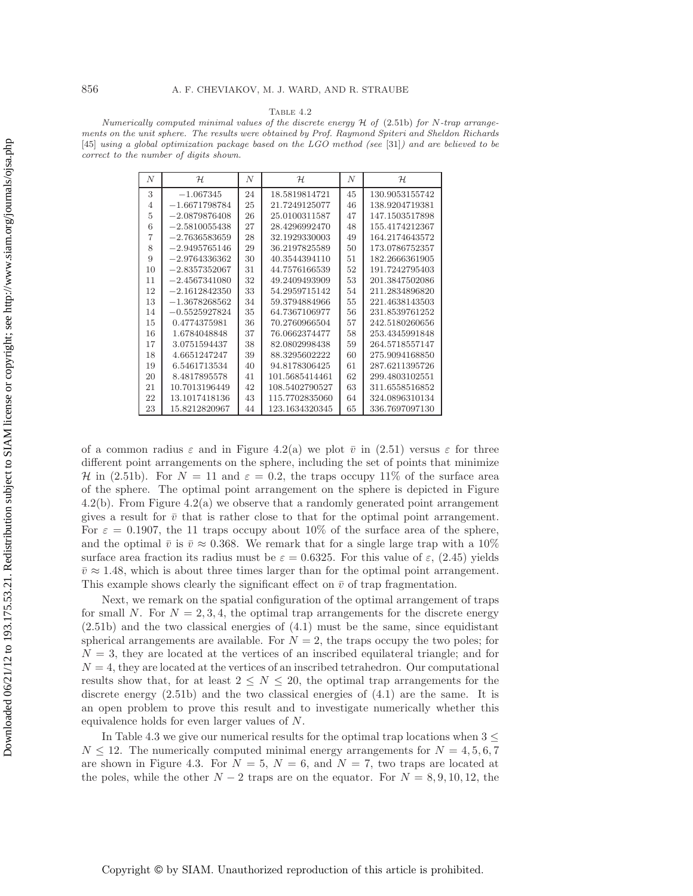#### TABLE  $4.2$

Numerically computed minimal values of the discrete energy  $H$  of (2.51b) for N-trap arrangements on the unit sphere. The results were obtained by Prof. Raymond Spiteri and Sheldon Richards [45] using a global optimization package based on the LGO method (see [31]) and are believed to be correct to the number of digits shown.

| N              | H               | N  | H              | N  | $\mathcal{H}$  |
|----------------|-----------------|----|----------------|----|----------------|
| 3              | $-1.067345$     | 24 | 18.5819814721  | 45 | 130.9053155742 |
| 4              | $-1.6671798784$ | 25 | 21.7249125077  | 46 | 138.9204719381 |
| 5              | $-2.0879876408$ | 26 | 25.0100311587  | 47 | 147.1503517898 |
| 6              | $-2.5810055438$ | 27 | 28.4296992470  | 48 | 155.4174212367 |
| $\overline{7}$ | $-2.7636583659$ | 28 | 32.1929330003  | 49 | 164.2174643572 |
| 8              | $-2.9495765146$ | 29 | 36.2197825589  | 50 | 173.0786752357 |
| 9              | $-2.9764336362$ | 30 | 40.3544394110  | 51 | 182.2666361905 |
| 10             | $-2.8357352067$ | 31 | 44.7576166539  | 52 | 191.7242795403 |
| 11             | $-2.4567341080$ | 32 | 49.2409493909  | 53 | 201.3847502086 |
| 12             | $-2.1612842350$ | 33 | 54.2959715142  | 54 | 211.2834896820 |
| 13             | $-1.3678268562$ | 34 | 59.3794884966  | 55 | 221.4638143503 |
| 14             | $-0.5525927824$ | 35 | 64.7367106977  | 56 | 231.8539761252 |
| 15             | 0.4774375981    | 36 | 70.2760966504  | 57 | 242.5180260656 |
| 16             | 1.6784048848    | 37 | 76.0662374477  | 58 | 253.4345991848 |
| 17             | 3.0751594437    | 38 | 82.0802998438  | 59 | 264.5718557147 |
| 18             | 4.6651247247    | 39 | 88.3295602222  | 60 | 275.9094168850 |
| 19             | 6.5461713534    | 40 | 94.8178306425  | 61 | 287.6211395726 |
| 20             | 8.4817895578    | 41 | 101.5685414461 | 62 | 299.4803102551 |
| 21             | 10.7013196449   | 42 | 108.5402790527 | 63 | 311.6558516852 |
| 22             | 13.1017418136   | 43 | 115.7702835060 | 64 | 324.0896310134 |
| 23             | 15.8212820967   | 44 | 123.1634320345 | 65 | 336.7697097130 |

of a common radius  $\varepsilon$  and in Figure 4.2(a) we plot  $\bar{v}$  in (2.51) versus  $\varepsilon$  for three different point arrangements on the sphere, including the set of points that minimize H in (2.51b). For  $N = 11$  and  $\varepsilon = 0.2$ , the traps occupy 11% of the surface area of the sphere. The optimal point arrangement on the sphere is depicted in Figure 4.2(b). From Figure 4.2(a) we observe that a randomly generated point arrangement gives a result for  $\bar{v}$  that is rather close to that for the optimal point arrangement. For  $\varepsilon = 0.1907$ , the 11 traps occupy about 10% of the surface area of the sphere, and the optimal  $\bar{v}$  is  $\bar{v} \approx 0.368$ . We remark that for a single large trap with a 10% surface area fraction its radius must be  $\varepsilon = 0.6325$ . For this value of  $\varepsilon$ , (2.45) yields  $\bar{v} \approx 1.48$ , which is about three times larger than for the optimal point arrangement. This example shows clearly the significant effect on  $\bar{v}$  of trap fragmentation.

Next, we remark on the spatial configuration of the optimal arrangement of traps for small N. For  $N = 2, 3, 4$ , the optimal trap arrangements for the discrete energy  $(2.51b)$  and the two classical energies of  $(4.1)$  must be the same, since equidistant spherical arrangements are available. For  $N = 2$ , the traps occupy the two poles; for  $N = 3$ , they are located at the vertices of an inscribed equilateral triangle; and for  $N = 4$ , they are located at the vertices of an inscribed tetrahedron. Our computational results show that, for at least  $2 \leq N \leq 20$ , the optimal trap arrangements for the discrete energy (2.51b) and the two classical energies of (4.1) are the same. It is an open problem to prove this result and to investigate numerically whether this equivalence holds for even larger values of N.

In Table 4.3 we give our numerical results for the optimal trap locations when  $3 \leq$  $N \leq 12$ . The numerically computed minimal energy arrangements for  $N = 4, 5, 6, 7$ are shown in Figure 4.3. For  $N = 5$ ,  $N = 6$ , and  $N = 7$ , two traps are located at the poles, while the other  $N-2$  traps are on the equator. For  $N = 8, 9, 10, 12$ , the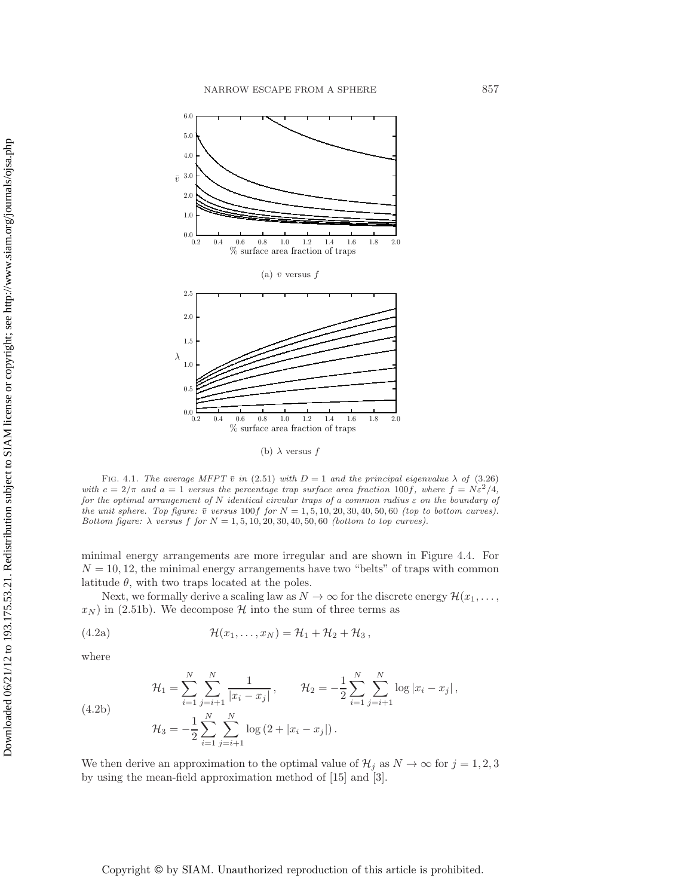

(b)  $\lambda$  versus  $f$ 

FIG. 4.1. The average MFPT  $\bar{v}$  in (2.51) with  $D = 1$  and the principal eigenvalue  $\lambda$  of (3.26) with  $c = 2/\pi$  and  $a = 1$  versus the percentage trap surface area fraction 100f, where  $f = N\varepsilon^2/4$ , for the optimal arrangement of N identical circular traps of a common radius  $\varepsilon$  on the boundary of the unit sphere. Top figure:  $\bar{v}$  versus 100f for  $N = 1, 5, 10, 20, 30, 40, 50, 60$  (top to bottom curves). Bottom figure:  $\lambda$  versus f for  $N = 1, 5, 10, 20, 30, 40, 50, 60$  (bottom to top curves).

minimal energy arrangements are more irregular and are shown in Figure 4.4. For  $N = 10, 12$ , the minimal energy arrangements have two "belts" of traps with common latitude  $\theta$ , with two traps located at the poles.

Next, we formally derive a scaling law as  $N \to \infty$  for the discrete energy  $\mathcal{H}(x_1,\ldots,$  $x_N$ ) in (2.51b). We decompose H into the sum of three terms as

(4.2a) 
$$
\mathcal{H}(x_1,\ldots,x_N)=\mathcal{H}_1+\mathcal{H}_2+\mathcal{H}_3,
$$

where

$$
\mathcal{H}_1 = \sum_{i=1}^N \sum_{j=i+1}^N \frac{1}{|x_i - x_j|}, \qquad \mathcal{H}_2 = -\frac{1}{2} \sum_{i=1}^N \sum_{j=i+1}^N \log |x_i - x_j|,
$$
  

$$
\mathcal{H}_3 = -\frac{1}{2} \sum_{i=1}^N \sum_{j=i+1}^N \log (2 + |x_i - x_j|).
$$

(4.2b)

We then derive an approximation to the optimal value of 
$$
\mathcal{H}_j
$$
 as  $N \to \infty$  for  $j = 1, 2, 3$   
by using the mean-field approximation method of [15] and [3].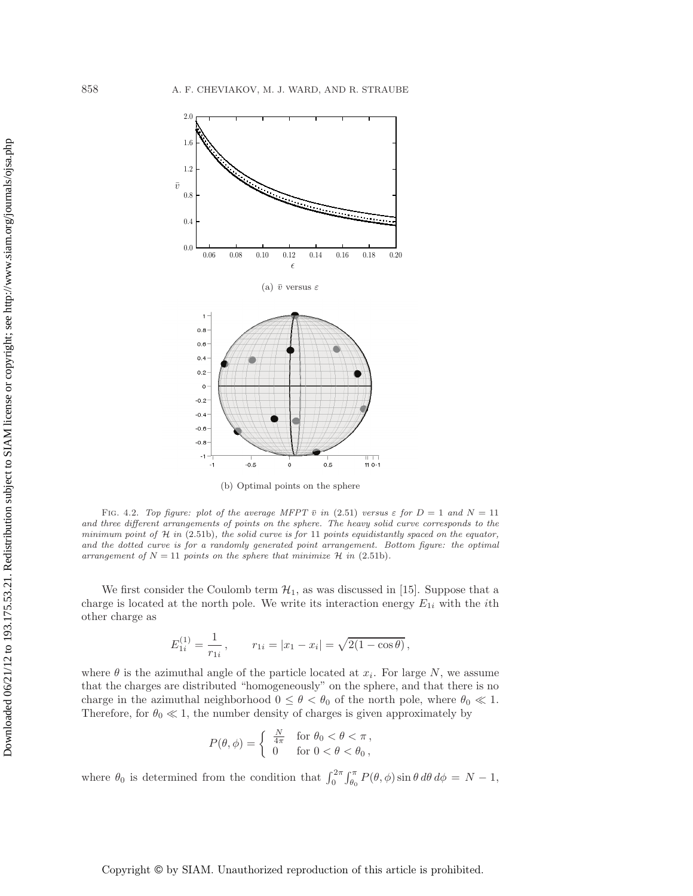

(b) Optimal points on the sphere

FIG. 4.2. Top figure: plot of the average MFPT  $\bar{v}$  in (2.51) versus  $\varepsilon$  for  $D = 1$  and  $N = 11$ and three different arrangements of points on the sphere. The heavy solid curve corresponds to the minimum point of  $\mathcal H$  in (2.51b), the solid curve is for 11 points equidistantly spaced on the equator, and the dotted curve is for a randomly generated point arrangement. Bottom figure: the optimal arrangement of  $N = 11$  points on the sphere that minimize  $\mathcal{H}$  in (2.51b).

We first consider the Coulomb term  $\mathcal{H}_1$ , as was discussed in [15]. Suppose that a charge is located at the north pole. We write its interaction energy  $E_{1i}$  with the *i*th other charge as

$$
E_{1i}^{(1)} = \frac{1}{r_{1i}}, \qquad r_{1i} = |x_1 - x_i| = \sqrt{2(1 - \cos \theta)},
$$

where  $\theta$  is the azimuthal angle of the particle located at  $x_i$ . For large N, we assume that the charges are distributed "homogeneously" on the sphere, and that there is no charge in the azimuthal neighborhood  $0 \le \theta < \theta_0$  of the north pole, where  $\theta_0 \ll 1$ . Therefore, for  $\theta_0 \ll 1$ , the number density of charges is given approximately by

$$
P(\theta,\phi) = \begin{cases} \frac{N}{4\pi} & \text{for } \theta_0 < \theta < \pi, \\ 0 & \text{for } 0 < \theta < \theta_0, \end{cases}
$$

where  $\theta_0$  is determined from the condition that  $\int_0^{2\pi} \int_{\theta_0}^{\pi} P(\theta, \phi) \sin \theta \, d\theta \, d\phi = N - 1$ ,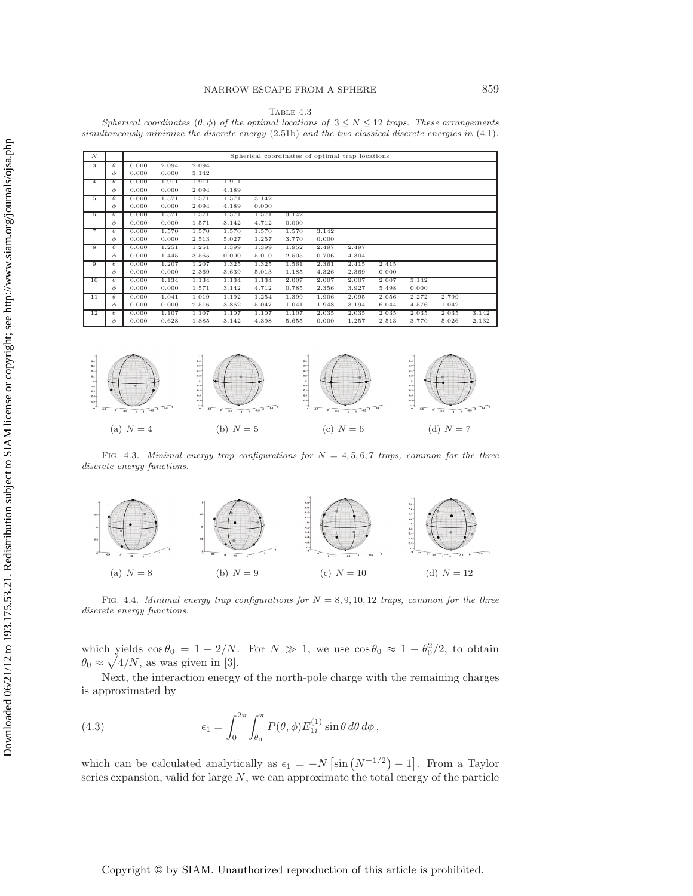TABLE  $4.3$ 

Spherical coordinates  $(\theta, \phi)$  of the optimal locations of  $3 \leq N \leq 12$  traps. These arrangements simultaneously minimize the discrete energy  $(2.51b)$  and the two classical discrete energies in  $(4.1)$ .

| $\boldsymbol{N}$ |          | Spherical coordinates of optimal trap locations |       |       |       |       |       |       |       |       |       |       |       |
|------------------|----------|-------------------------------------------------|-------|-------|-------|-------|-------|-------|-------|-------|-------|-------|-------|
| 3                | $\theta$ | 0.000                                           | 2.094 | 2.094 |       |       |       |       |       |       |       |       |       |
|                  | $\phi$   | 0.000                                           | 0.000 | 3.142 |       |       |       |       |       |       |       |       |       |
| $\overline{4}$   | $\theta$ | 0.000                                           | 1.911 | 1.911 | 1.911 |       |       |       |       |       |       |       |       |
|                  | φ        | 0.000                                           | 0.000 | 2.094 | 4.189 |       |       |       |       |       |       |       |       |
| 5                | θ        | 0.000                                           | 1.571 | 1.571 | 1.571 | 3.142 |       |       |       |       |       |       |       |
|                  | φ        | 0.000                                           | 0.000 | 2.094 | 4.189 | 0.000 |       |       |       |       |       |       |       |
| 6                | θ        | 0.000                                           | 1.571 | 1.571 | 1.571 | 1.571 | 3.142 |       |       |       |       |       |       |
|                  | φ        | 0.000                                           | 0.000 | 1.571 | 3.142 | 4.712 | 0.000 |       |       |       |       |       |       |
| $\overline{7}$   | θ        | 0.000                                           | 1.570 | 1.570 | 1.570 | 1.570 | 1.570 | 3.142 |       |       |       |       |       |
|                  | φ        | 0.000                                           | 0.000 | 2.513 | 5.027 | 1.257 | 3.770 | 0.000 |       |       |       |       |       |
| 8                | $\theta$ | 0.000                                           | 1.251 | 1.251 | 1.399 | 1.399 | 1.952 | 2.497 | 2.497 |       |       |       |       |
|                  | φ        | 0.000                                           | 1.445 | 3.565 | 0.000 | 5.010 | 2.505 | 0.706 | 4.304 |       |       |       |       |
| 9                | θ        | 0.000                                           | 1.207 | 1.207 | 1.325 | 1.325 | 1.561 | 2.361 | 2.415 | 2.415 |       |       |       |
|                  | φ        | 0.000                                           | 0.000 | 2.369 | 3.639 | 5.013 | 1.185 | 4.326 | 2.369 | 0.000 |       |       |       |
| 10               | θ        | 0.000                                           | 1.134 | 1.134 | 1.134 | 1.134 | 2.007 | 2.007 | 2.007 | 2.007 | 3.142 |       |       |
|                  | φ        | 0.000                                           | 0.000 | 1.571 | 3.142 | 4.712 | 0.785 | 2.356 | 3.927 | 5.498 | 0.000 |       |       |
| 11               | $\theta$ | 0.000                                           | 1.041 | 1.019 | 1.192 | 1.254 | 1.399 | 1.906 | 2.095 | 2.056 | 2.272 | 2.799 |       |
|                  | $\phi$   | 0.000                                           | 0.000 | 2.516 | 3.862 | 5.047 | 1.041 | 1.948 | 3.194 | 6.044 | 4.576 | 1.042 |       |
| 12               | θ        | 0.000                                           | 1.107 | 1.107 | 1.107 | 1.107 | 1.107 | 2.035 | 2.035 | 2.035 | 2.035 | 2.035 | 3.142 |
|                  | φ        | 0.000                                           | 0.628 | 1.885 | 3.142 | 4.398 | 5.655 | 0.000 | 1.257 | 2.513 | 3.770 | 5.026 | 2.132 |



FIG. 4.3. Minimal energy trap configurations for  $N = 4, 5, 6, 7$  traps, common for the three discrete energy functions.



FIG. 4.4. Minimal energy trap configurations for  $N = 8, 9, 10, 12$  traps, common for the three discrete energy functions.

which yields  $\cos \theta_0 = 1 - 2/N$ . For  $N \gg 1$ , we use  $\cos \theta_0 \approx 1 - \theta_0^2/2$ , to obtain  $\theta_0 \approx \sqrt{4/N}$ , as was given in [3].

Next, the interaction energy of the north-pole charge with the remaining charges is approximated by

(4.3) 
$$
\epsilon_1 = \int_0^{2\pi} \int_{\theta_0}^{\pi} P(\theta, \phi) E_{1i}^{(1)} \sin \theta \, d\theta \, d\phi,
$$

which can be calculated analytically as  $\epsilon_1 = -N \left[\sin \left(N^{-1/2}\right) - 1\right]$ . From a Taylor series expansion, valid for large  $N$ , we can approximate the total energy of the particle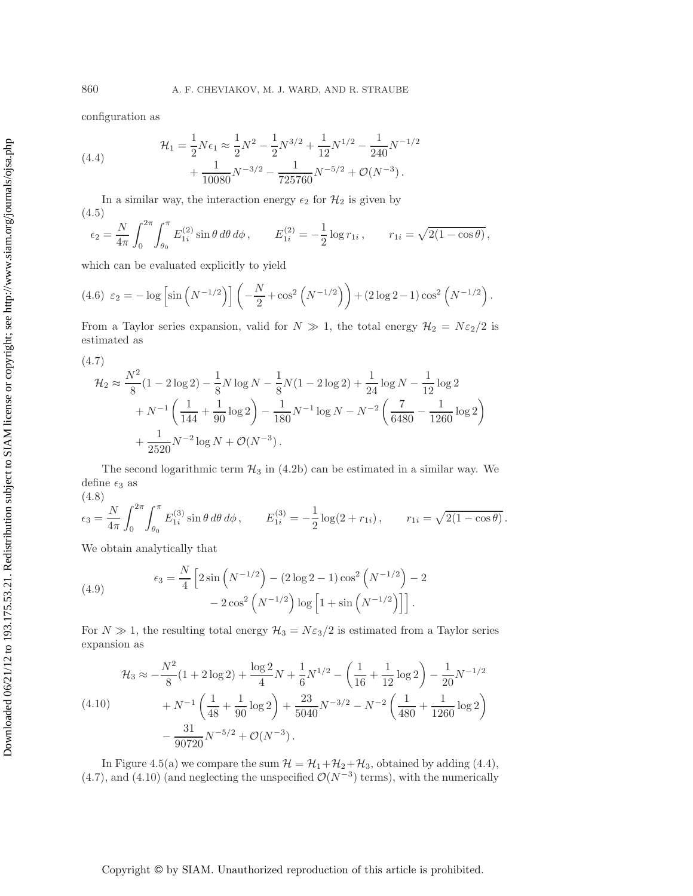configuration as

(4.4) 
$$
\mathcal{H}_1 = \frac{1}{2} N \epsilon_1 \approx \frac{1}{2} N^2 - \frac{1}{2} N^{3/2} + \frac{1}{12} N^{1/2} - \frac{1}{240} N^{-1/2} + \frac{1}{10080} N^{-3/2} - \frac{1}{725760} N^{-5/2} + \mathcal{O}(N^{-3}).
$$

In a similar way, the interaction energy  $\epsilon_2$  for  $\mathcal{H}_2$  is given by (4.5)

$$
\epsilon_2 = \frac{N}{4\pi} \int_0^{2\pi} \int_{\theta_0}^{\pi} E_{1i}^{(2)} \sin \theta \, d\theta \, d\phi \,, \qquad E_{1i}^{(2)} = -\frac{1}{2} \log r_{1i} \,, \qquad r_{1i} = \sqrt{2(1 - \cos \theta)} \,,
$$

which can be evaluated explicitly to yield

$$
(4.6) \varepsilon_2 = -\log \left[ \sin \left( N^{-1/2} \right) \right] \left( -\frac{N}{2} + \cos^2 \left( N^{-1/2} \right) \right) + (2 \log 2 - 1) \cos^2 \left( N^{-1/2} \right).
$$

From a Taylor series expansion, valid for  $N \gg 1$ , the total energy  $\mathcal{H}_2 = N \epsilon_2/2$  is estimated as

$$
(4.7)
$$
\n
$$
\mathcal{H}_2 \approx \frac{N^2}{8} (1 - 2 \log 2) - \frac{1}{8} N \log N - \frac{1}{8} N (1 - 2 \log 2) + \frac{1}{24} \log N - \frac{1}{12} \log 2 + N^{-1} \left( \frac{1}{144} + \frac{1}{90} \log 2 \right) - \frac{1}{180} N^{-1} \log N - N^{-2} \left( \frac{7}{6480} - \frac{1}{1260} \log 2 \right) + \frac{1}{2520} N^{-2} \log N + \mathcal{O}(N^{-3}).
$$

The second logarithmic term  $H_3$  in (4.2b) can be estimated in a similar way. We define  $\epsilon_3$  as

(4.8)

$$
\epsilon_3 = \frac{N}{4\pi} \int_0^{2\pi} \int_{\theta_0}^{\pi} E_{1i}^{(3)} \sin \theta \, d\theta \, d\phi, \qquad E_{1i}^{(3)} = -\frac{1}{2} \log(2 + r_{1i}), \qquad r_{1i} = \sqrt{2(1 - \cos \theta)}.
$$

We obtain analytically that

(4.9) 
$$
\epsilon_3 = \frac{N}{4} \left[ 2 \sin \left( N^{-1/2} \right) - (2 \log 2 - 1) \cos^2 \left( N^{-1/2} \right) - 2 - 2 \cos^2 \left( N^{-1/2} \right) \log \left[ 1 + \sin \left( N^{-1/2} \right) \right] \right].
$$

For  $N \gg 1$ , the resulting total energy  $\mathcal{H}_3 = N \epsilon_3/2$  is estimated from a Taylor series expansion as

$$
\mathcal{H}_3 \approx -\frac{N^2}{8} (1 + 2 \log 2) + \frac{\log 2}{4} N + \frac{1}{6} N^{1/2} - \left( \frac{1}{16} + \frac{1}{12} \log 2 \right) - \frac{1}{20} N^{-1/2} \n+ N^{-1} \left( \frac{1}{48} + \frac{1}{90} \log 2 \right) + \frac{23}{5040} N^{-3/2} - N^{-2} \left( \frac{1}{480} + \frac{1}{1260} \log 2 \right) \n- \frac{31}{90720} N^{-5/2} + \mathcal{O}(N^{-3}).
$$

In Figure 4.5(a) we compare the sum  $\mathcal{H} = \mathcal{H}_1 + \mathcal{H}_2 + \mathcal{H}_3$ , obtained by adding (4.4), (4.7), and (4.10) (and neglecting the unspecified  $\mathcal{O}(N^{-3})$  terms), with the numerically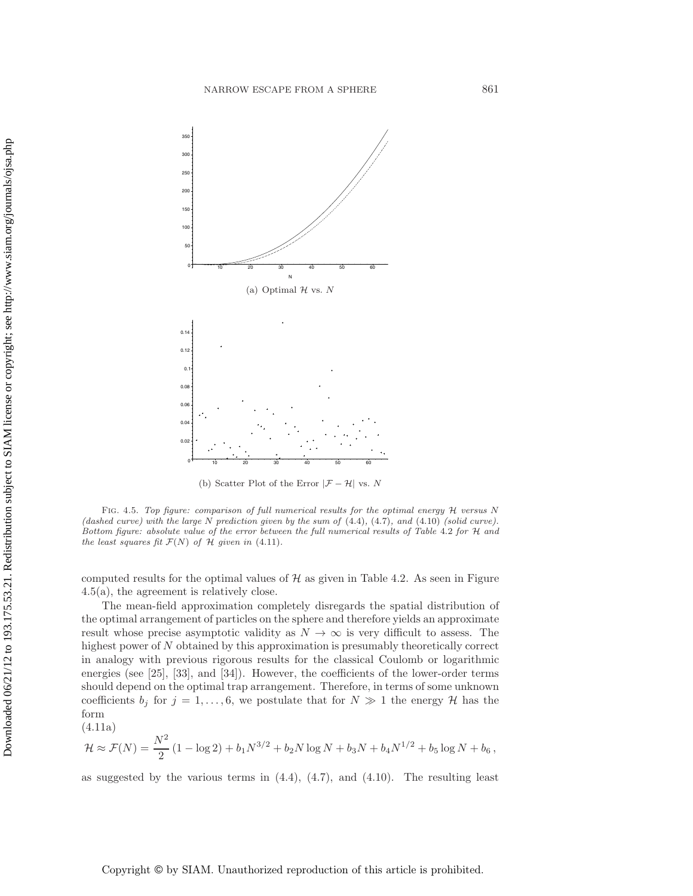

(b) Scatter Plot of the Error  $|\mathcal{F} - \mathcal{H}|$  vs. N

FIG. 4.5. Top figure: comparison of full numerical results for the optimal energy H versus N (dashed curve) with the large N prediction given by the sum of  $(4.4)$ ,  $(4.7)$ , and  $(4.10)$  (solid curve). Bottom figure: absolute value of the error between the full numerical results of Table 4.2 for H and the least squares fit  $\mathcal{F}(N)$  of  $\mathcal H$  given in (4.11).

computed results for the optimal values of  $H$  as given in Table 4.2. As seen in Figure 4.5(a), the agreement is relatively close.

The mean-field approximation completely disregards the spatial distribution of the optimal arrangement of particles on the sphere and therefore yields an approximate result whose precise asymptotic validity as  $N \to \infty$  is very difficult to assess. The highest power of N obtained by this approximation is presumably theoretically correct in analogy with previous rigorous results for the classical Coulomb or logarithmic energies (see [25], [33], and [34]). However, the coefficients of the lower-order terms should depend on the optimal trap arrangement. Therefore, in terms of some unknown coefficients  $b_j$  for  $j = 1, ..., 6$ , we postulate that for  $N \gg 1$  the energy H has the form

(4.11a)

$$
\mathcal{H} \approx \mathcal{F}(N) = \frac{N^2}{2} \left( 1 - \log 2 \right) + b_1 N^{3/2} + b_2 N \log N + b_3 N + b_4 N^{1/2} + b_5 \log N + b_6,
$$

as suggested by the various terms in  $(4.4)$ ,  $(4.7)$ , and  $(4.10)$ . The resulting least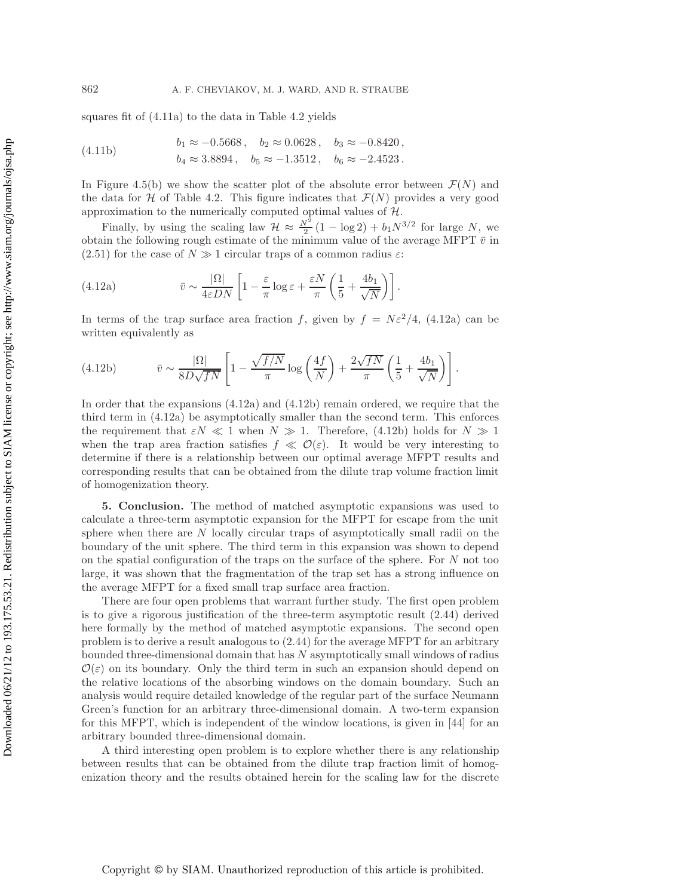squares fit of (4.11a) to the data in Table 4.2 yields

(4.11b) 
$$
b_1 \approx -0.5668, \quad b_2 \approx 0.0628, \quad b_3 \approx -0.8420,
$$

$$
b_4 \approx 3.8894, \quad b_5 \approx -1.3512, \quad b_6 \approx -2.4523.
$$

In Figure 4.5(b) we show the scatter plot of the absolute error between  $\mathcal{F}(N)$  and the data for H of Table 4.2. This figure indicates that  $\mathcal{F}(N)$  provides a very good approximation to the numerically computed optimal values of  $H$ .

Finally, by using the scaling law  $\mathcal{H} \approx \frac{N^2}{2} (1 - \log 2) + b_1 N^{3/2}$  for large N, we obtain the following rough estimate of the minimum value of the average MFPT  $\bar{v}$  in (2.51) for the case of  $N \gg 1$  circular traps of a common radius  $\varepsilon$ :

(4.12a) 
$$
\bar{v} \sim \frac{|\Omega|}{4\varepsilon DN} \left[ 1 - \frac{\varepsilon}{\pi} \log \varepsilon + \frac{\varepsilon N}{\pi} \left( \frac{1}{5} + \frac{4b_1}{\sqrt{N}} \right) \right].
$$

In terms of the trap surface area fraction f, given by  $f = N\varepsilon^2/4$ , (4.12a) can be written equivalently as

(4.12b) 
$$
\bar{v} \sim \frac{|\Omega|}{8D\sqrt{fN}} \left[1 - \frac{\sqrt{f/N}}{\pi} \log\left(\frac{4f}{N}\right) + \frac{2\sqrt{fN}}{\pi} \left(\frac{1}{5} + \frac{4b_1}{\sqrt{N}}\right)\right].
$$

In order that the expansions (4.12a) and (4.12b) remain ordered, we require that the third term in (4.12a) be asymptotically smaller than the second term. This enforces the requirement that  $\varepsilon N \ll 1$  when  $N \gg 1$ . Therefore, (4.12b) holds for  $N \gg 1$ when the trap area fraction satisfies  $f \ll \mathcal{O}(\varepsilon)$ . It would be very interesting to determine if there is a relationship between our optimal average MFPT results and corresponding results that can be obtained from the dilute trap volume fraction limit of homogenization theory.

**5. Conclusion.** The method of matched asymptotic expansions was used to calculate a three-term asymptotic expansion for the MFPT for escape from the unit sphere when there are  $N$  locally circular traps of asymptotically small radii on the boundary of the unit sphere. The third term in this expansion was shown to depend on the spatial configuration of the traps on the surface of the sphere. For  $N$  not too large, it was shown that the fragmentation of the trap set has a strong influence on the average MFPT for a fixed small trap surface area fraction.

There are four open problems that warrant further study. The first open problem is to give a rigorous justification of the three-term asymptotic result (2.44) derived here formally by the method of matched asymptotic expansions. The second open problem is to derive a result analogous to (2.44) for the average MFPT for an arbitrary bounded three-dimensional domain that has N asymptotically small windows of radius  $\mathcal{O}(\varepsilon)$  on its boundary. Only the third term in such an expansion should depend on the relative locations of the absorbing windows on the domain boundary. Such an analysis would require detailed knowledge of the regular part of the surface Neumann Green's function for an arbitrary three-dimensional domain. A two-term expansion for this MFPT, which is independent of the window locations, is given in [44] for an arbitrary bounded three-dimensional domain.

A third interesting open problem is to explore whether there is any relationship between results that can be obtained from the dilute trap fraction limit of homogenization theory and the results obtained herein for the scaling law for the discrete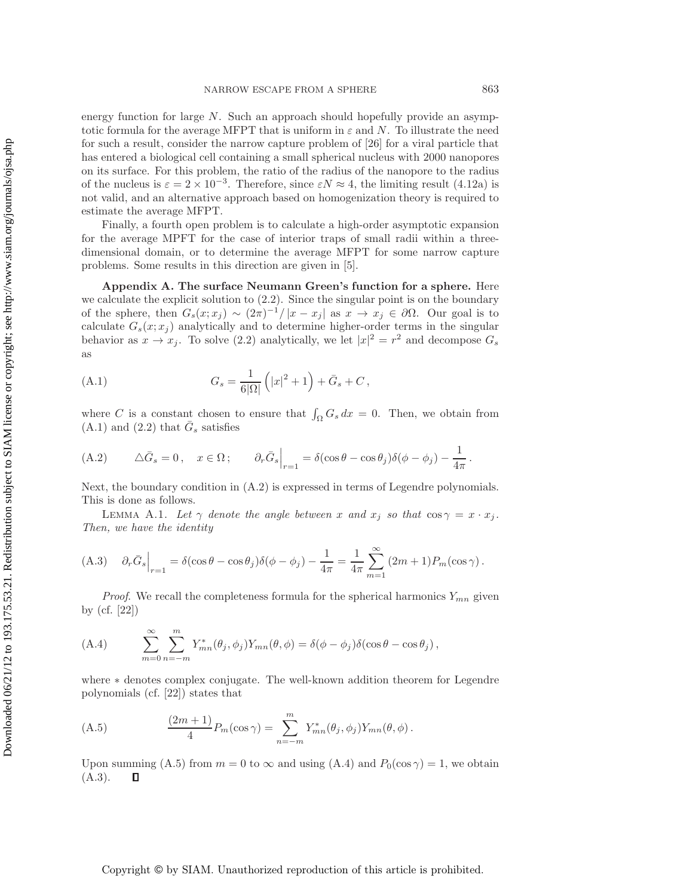energy function for large N. Such an approach should hopefully provide an asymptotic formula for the average MFPT that is uniform in  $\varepsilon$  and N. To illustrate the need for such a result, consider the narrow capture problem of [26] for a viral particle that has entered a biological cell containing a small spherical nucleus with 2000 nanopores on its surface. For this problem, the ratio of the radius of the nanopore to the radius of the nucleus is  $\varepsilon = 2 \times 10^{-3}$ . Therefore, since  $\varepsilon N \approx 4$ , the limiting result (4.12a) is not valid, and an alternative approach based on homogenization theory is required to estimate the average MFPT.

Finally, a fourth open problem is to calculate a high-order asymptotic expansion for the average MPFT for the case of interior traps of small radii within a threedimensional domain, or to determine the average MFPT for some narrow capture problems. Some results in this direction are given in [5].

**Appendix A. The surface Neumann Green's function for a sphere.** Here we calculate the explicit solution to  $(2.2)$ . Since the singular point is on the boundary of the sphere, then  $G_s(x; x_j) \sim (2\pi)^{-1}/|x - x_j|$  as  $x \to x_j \in \partial\Omega$ . Our goal is to calculate  $G_s(x; x_j)$  analytically and to determine higher-order terms in the singular behavior as  $x \to x_j$ . To solve (2.2) analytically, we let  $|x|^2 = r^2$  and decompose  $G_s$ as

(A.1) 
$$
G_s = \frac{1}{6|\Omega|} (|x|^2 + 1) + \bar{G}_s + C,
$$

where C is a constant chosen to ensure that  $\int_{\Omega} G_s dx = 0$ . Then, we obtain from  $(A.1)$  and  $(2.2)$  that  $\bar{G}_s$  satisfies

(A.2) 
$$
\Delta \bar{G}_s = 0, \quad x \in \Omega; \qquad \partial_r \bar{G}_s \Big|_{r=1} = \delta(\cos \theta - \cos \theta_j)\delta(\phi - \phi_j) - \frac{1}{4\pi}.
$$

Next, the boundary condition in  $(A.2)$  is expressed in terms of Legendre polynomials. This is done as follows.

LEMMA A.1. Let  $\gamma$  denote the angle between x and  $x_j$  so that  $\cos \gamma = x \cdot x_j$ . *Then, we have the identity*

$$
(A.3) \quad \partial_r \bar{G}_s\Big|_{r=1} = \delta(\cos\theta - \cos\theta_j)\delta(\phi - \phi_j) - \frac{1}{4\pi} = \frac{1}{4\pi} \sum_{m=1}^{\infty} (2m+1)P_m(\cos\gamma).
$$

*Proof.* We recall the completeness formula for the spherical harmonics  $Y_{mn}$  given by (cf. [22])

(A.4) 
$$
\sum_{m=0}^{\infty} \sum_{n=-m}^{m} Y_{mn}^*(\theta_j, \phi_j) Y_{mn}(\theta, \phi) = \delta(\phi - \phi_j) \delta(\cos \theta - \cos \theta_j),
$$

where ∗ denotes complex conjugate. The well-known addition theorem for Legendre polynomials (cf. [22]) states that

(A.5) 
$$
\frac{(2m+1)}{4}P_m(\cos \gamma) = \sum_{n=-m}^{m} Y_{mn}^*(\theta_j, \phi_j)Y_{mn}(\theta, \phi).
$$

Upon summing (A.5) from  $m = 0$  to  $\infty$  and using (A.4) and  $P_0(\cos \gamma) = 1$ , we obtain  $(A.3).$  $\Box$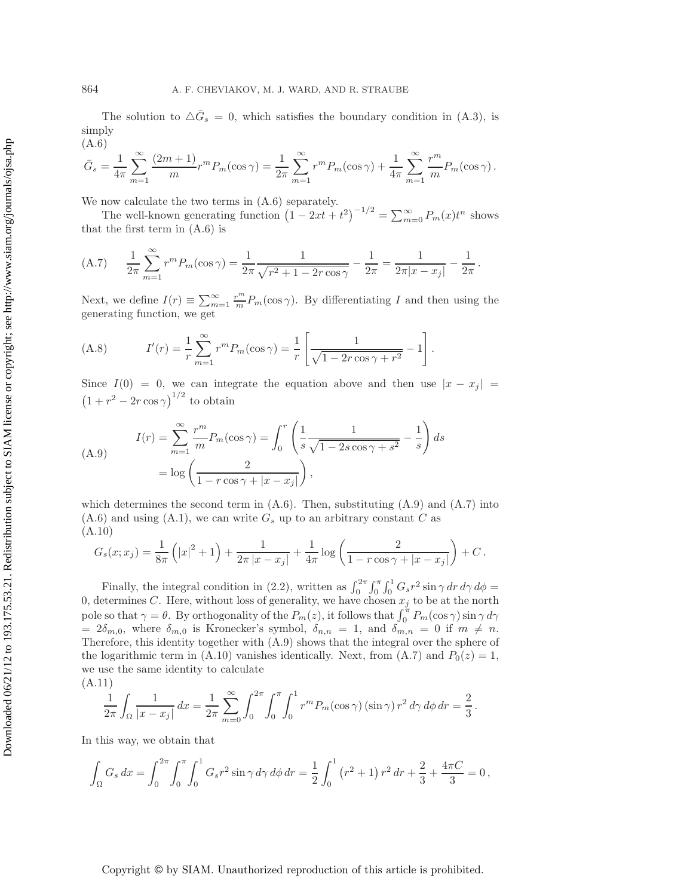The solution to  $\Delta \bar{G}_s = 0$ , which satisfies the boundary condition in (A.3), is simply (A.6)

$$
\bar{G}_s = \frac{1}{4\pi} \sum_{m=1}^{\infty} \frac{(2m+1)}{m} r^m P_m(\cos \gamma) = \frac{1}{2\pi} \sum_{m=1}^{\infty} r^m P_m(\cos \gamma) + \frac{1}{4\pi} \sum_{m=1}^{\infty} \frac{r^m}{m} P_m(\cos \gamma).
$$

We now calculate the two terms in (A.6) separately.

The well-known generating function  $(1 - 2xt + t^2)^{-1/2} = \sum_{m=0}^{\infty} P_m(x)t^n$  shows that the first term in (A.6) is

(A.7) 
$$
\frac{1}{2\pi} \sum_{m=1}^{\infty} r^m P_m(\cos \gamma) = \frac{1}{2\pi} \frac{1}{\sqrt{r^2 + 1 - 2r \cos \gamma}} - \frac{1}{2\pi} = \frac{1}{2\pi |x - x_j|} - \frac{1}{2\pi}.
$$

Next, we define  $I(r) \equiv \sum_{m=1}^{\infty} \frac{r^m}{m} P_m(\cos \gamma)$ . By differentiating I and then using the generating function, we get

(A.8) 
$$
I'(r) = \frac{1}{r} \sum_{m=1}^{\infty} r^m P_m(\cos \gamma) = \frac{1}{r} \left[ \frac{1}{\sqrt{1 - 2r \cos \gamma + r^2}} - 1 \right].
$$

Since  $I(0) = 0$ , we can integrate the equation above and then use  $|x - x_j|$  $(1 + r^2 - 2r \cos \gamma)^{1/2}$  to obtain

(A.9) 
$$
I(r) = \sum_{m=1}^{\infty} \frac{r^m}{m} P_m(\cos \gamma) = \int_0^r \left( \frac{1}{s} \frac{1}{\sqrt{1 - 2s \cos \gamma + s^2}} - \frac{1}{s} \right) ds
$$

$$
= \log \left( \frac{2}{1 - r \cos \gamma + |x - x_j|} \right),
$$

which determines the second term in  $(A.6)$ . Then, substituting  $(A.9)$  and  $(A.7)$  into  $(A.6)$  and using  $(A.1)$ , we can write  $G_s$  up to an arbitrary constant C as (A.10)

$$
G_s(x; x_j) = \frac{1}{8\pi} \left( |x|^2 + 1 \right) + \frac{1}{2\pi |x - x_j|} + \frac{1}{4\pi} \log \left( \frac{2}{1 - r \cos \gamma + |x - x_j|} \right) + C.
$$

Finally, the integral condition in (2.2), written as  $\int_0^{2\pi} \int_0^{\pi} \int_0^1 G_s r^2 \sin \gamma \, dr \, d\gamma \, d\phi =$ 0, determines C. Here, without loss of generality, we have chosen  $x_j$  to be at the north pole so that  $\gamma = \theta$ . By orthogonality of the  $P_m(z)$ , it follows that  $\int_0^{\pi} P_m(\cos \gamma) \sin \gamma d\gamma$  $= 2\delta_{m,0}$ , where  $\delta_{m,0}$  is Kronecker's symbol,  $\delta_{n,n} = 1$ , and  $\delta_{m,n} = 0$  if  $m \neq n$ . Therefore, this identity together with (A.9) shows that the integral over the sphere of the logarithmic term in (A.10) vanishes identically. Next, from (A.7) and  $P_0(z) = 1$ , we use the same identity to calculate

(A.11)

$$
\frac{1}{2\pi} \int_{\Omega} \frac{1}{|x - x_j|} dx = \frac{1}{2\pi} \sum_{m=0}^{\infty} \int_{0}^{2\pi} \int_{0}^{\pi} \int_{0}^{1} r^{m} P_{m}(\cos \gamma) (\sin \gamma) r^{2} d\gamma d\phi dr = \frac{2}{3}.
$$

In this way, we obtain that

$$
\int_{\Omega} G_s dx = \int_0^{2\pi} \int_0^{\pi} \int_0^1 G_s r^2 \sin \gamma \, d\gamma \, d\phi \, dr = \frac{1}{2} \int_0^1 (r^2 + 1) r^2 \, dr + \frac{2}{3} + \frac{4\pi C}{3} = 0,
$$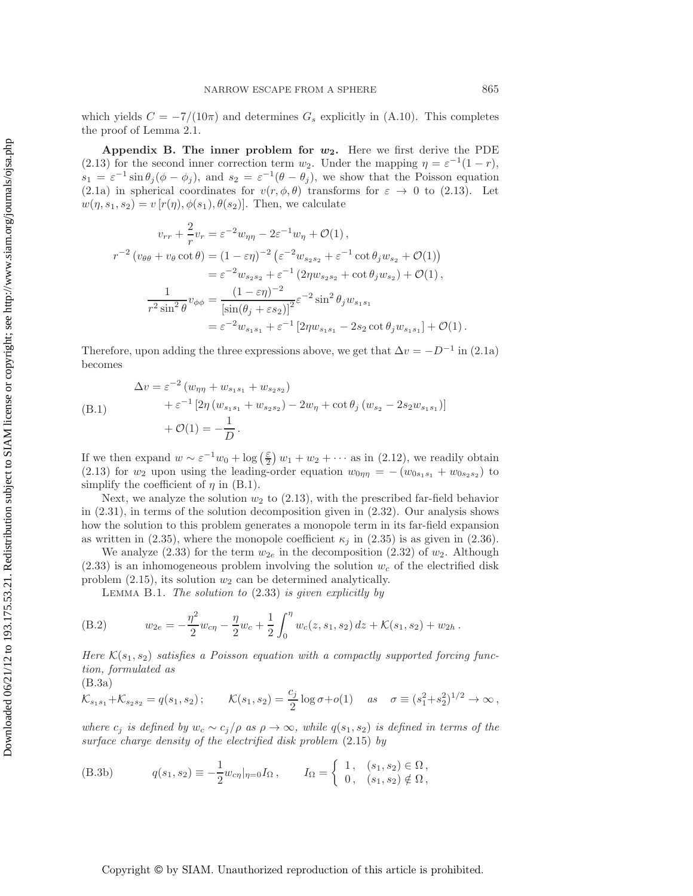which yields  $C = -7/(10\pi)$  and determines  $G_s$  explicitly in (A.10). This completes the proof of Lemma 2.1.

**Appendix B. The inner problem for**  $w_2$ **.** Here we first derive the PDE (2.13) for the second inner correction term  $w_2$ . Under the mapping  $\eta = \varepsilon^{-1}(1-r)$ ,  $s_1 = \varepsilon^{-1} \sin \theta_j (\phi - \phi_j)$ , and  $s_2 = \varepsilon^{-1} (\theta - \theta_j)$ , we show that the Poisson equation (2.1a) in spherical coordinates for  $v(r, \phi, \theta)$  transforms for  $\varepsilon \to 0$  to (2.13). Let  $w(\eta, s_1, s_2) = v[r(\eta), \phi(s_1), \theta(s_2)]$ . Then, we calculate

$$
v_{rr} + \frac{2}{r}v_r = \varepsilon^{-2}w_{\eta\eta} - 2\varepsilon^{-1}w_{\eta} + \mathcal{O}(1) ,
$$
  
\n
$$
r^{-2} (v_{\theta\theta} + v_{\theta}\cot\theta) = (1 - \varepsilon\eta)^{-2} (\varepsilon^{-2}w_{s_2s_2} + \varepsilon^{-1}\cot\theta_j w_{s_2} + \mathcal{O}(1))
$$
  
\n
$$
= \varepsilon^{-2}w_{s_2s_2} + \varepsilon^{-1} (2\eta w_{s_2s_2} + \cot\theta_j w_{s_2}) + \mathcal{O}(1) ,
$$
  
\n
$$
\frac{1}{r^2 \sin^2\theta}v_{\phi\phi} = \frac{(1 - \varepsilon\eta)^{-2}}{[\sin(\theta_j + \varepsilon s_2)]^2} \varepsilon^{-2} \sin^2\theta_j w_{s_1s_1}
$$
  
\n
$$
= \varepsilon^{-2}w_{s_1s_1} + \varepsilon^{-1} [2\eta w_{s_1s_1} - 2s_2 \cot\theta_j w_{s_1s_1}] + \mathcal{O}(1) .
$$

Therefore, upon adding the three expressions above, we get that  $\Delta v = -D^{-1}$  in (2.1a) becomes

$$
\Delta v = \varepsilon^{-2} (w_{\eta\eta} + w_{s_1s_1} + w_{s_2s_2})
$$
  
\n
$$
+ \varepsilon^{-1} [2\eta (w_{s_1s_1} + w_{s_2s_2}) - 2w_{\eta} + \cot \theta_j (w_{s_2} - 2s_2w_{s_1s_1})]
$$
  
\n
$$
+ \mathcal{O}(1) = -\frac{1}{D}.
$$

If we then expand  $w \sim \varepsilon^{-1} w_0 + \log(\frac{\varepsilon}{2}) w_1 + w_2 + \cdots$  as in (2.12), we readily obtain (2.13) for  $w_2$  upon using the leading-order equation  $w_{0\eta\eta} = -(w_{0s_1s_1} + w_{0s_2s_2})$  to simplify the coefficient of  $\eta$  in (B.1).

Next, we analyze the solution  $w_2$  to  $(2.13)$ , with the prescribed far-field behavior in (2.31), in terms of the solution decomposition given in (2.32). Our analysis shows how the solution to this problem generates a monopole term in its far-field expansion as written in (2.35), where the monopole coefficient  $\kappa_j$  in (2.35) is as given in (2.36).

We analyze (2.33) for the term  $w_{2e}$  in the decomposition (2.32) of  $w_2$ . Although  $(2.33)$  is an inhomogeneous problem involving the solution  $w_c$  of the electrified disk problem  $(2.15)$ , its solution  $w_2$  can be determined analytically.

Lemma B.1. *The solution to* (2.33) *is given explicitly by*

(B.2) 
$$
w_{2e} = -\frac{\eta^2}{2}w_{c\eta} - \frac{\eta}{2}w_c + \frac{1}{2}\int_0^{\eta} w_c(z, s_1, s_2) dz + \mathcal{K}(s_1, s_2) + w_{2h}.
$$

*Here*  $\mathcal{K}(s_1, s_2)$  *satisfies a Poisson equation with a compactly supported forcing function, formulated as*

(B.3a)

$$
\mathcal{K}_{s_1s_1} + \mathcal{K}_{s_2s_2} = q(s_1, s_2); \qquad \mathcal{K}(s_1, s_2) = \frac{c_j}{2} \log \sigma + o(1) \quad \text{as} \quad \sigma \equiv (s_1^2 + s_2^2)^{1/2} \to \infty,
$$

*where*  $c_j$  *is defined by*  $w_c \sim c_j/\rho$  *as*  $\rho \to \infty$ *, while*  $q(s_1, s_2)$  *is defined in terms of the surface charge density of the electrified disk problem* (2.15) *by*

(B.3b) 
$$
q(s_1, s_2) \equiv -\frac{1}{2} w_{c\eta} |_{\eta=0} I_{\Omega}, \qquad I_{\Omega} = \begin{cases} 1, & (s_1, s_2) \in \Omega, \\ 0, & (s_1, s_2) \notin \Omega, \end{cases}
$$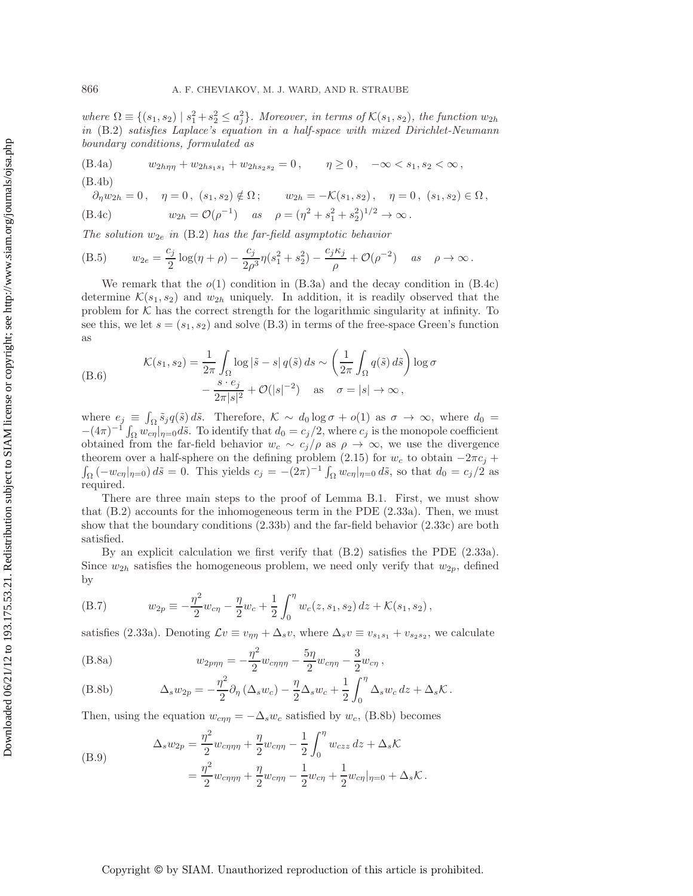where  $\Omega \equiv \{(s_1, s_2) \mid s_1^2 + s_2^2 \leq a_j^2\}$ . Moreover, in terms of  $\mathcal{K}(s_1, s_2)$ , the function  $w_{2h}$ *in* (B.2) *satisfies Laplace's equation in a half-space with mixed Dirichlet-Neumann boundary conditions, formulated as*

(B.4a) 
$$
w_{2h\eta\eta} + w_{2hs_1s_1} + w_{2hs_2s_2} = 0, \quad \eta \ge 0, \quad -\infty < s_1, s_2 < \infty,
$$

(B.4b)

$$
\partial_{\eta} w_{2h} = 0, \quad \eta = 0, \ (s_1, s_2) \notin \Omega; \qquad w_{2h} = -\mathcal{K}(s_1, s_2), \quad \eta = 0, \ (s_1, s_2) \in \Omega,
$$
  
(B.4c) 
$$
w_{2h} = \mathcal{O}(\rho^{-1}) \quad \text{as} \quad \rho = (\eta^2 + s_1^2 + s_2^2)^{1/2} \to \infty.
$$

*The solution*  $w_{2e}$  *in* (B.2) *has the far-field asymptotic behavior* 

(B.5) 
$$
w_{2e} = \frac{c_j}{2} \log(\eta + \rho) - \frac{c_j}{2\rho^3} \eta (s_1^2 + s_2^2) - \frac{c_j \kappa_j}{\rho} + \mathcal{O}(\rho^{-2}) \quad \text{as} \quad \rho \to \infty.
$$

We remark that the  $o(1)$  condition in  $(B.3a)$  and the decay condition in  $(B.4c)$ determine  $\mathcal{K}(s_1, s_2)$  and  $w_{2h}$  uniquely. In addition, it is readily observed that the problem for  $K$  has the correct strength for the logarithmic singularity at infinity. To see this, we let  $s = (s_1, s_2)$  and solve (B.3) in terms of the free-space Green's function as

(B.6) 
$$
\mathcal{K}(s_1, s_2) = \frac{1}{2\pi} \int_{\Omega} \log|\tilde{s} - s| q(\tilde{s}) ds \sim \left(\frac{1}{2\pi} \int_{\Omega} q(\tilde{s}) d\tilde{s}\right) \log \sigma -\frac{s \cdot e_j}{2\pi |s|^2} + \mathcal{O}(|s|^{-2}) \quad \text{as} \quad \sigma = |s| \to \infty,
$$

where  $e_j \equiv \int_{\Omega} \tilde{s}_j q(\tilde{s}) d\tilde{s}$ . Therefore,  $\mathcal{K} \sim d_0 \log \sigma + o(1)$  as  $\sigma \to \infty$ , where  $d_0 =$  $-(4\pi)^{-1}\int_{\Omega}w_{c\eta}|_{\eta=0}d\tilde{s}$ . To identify that  $d_0 = c_j/2$ , where  $c_j$  is the monopole coefficient obtained from the far-field behavior  $w_c \sim c_j/\rho$  as  $\rho \to \infty$ , we use the divergence theorem over a half-sphere on the defining problem (2.15) for  $w_c$  to obtain  $-2\pi c_j +$  $\int_{\Omega}$   $(-w_{c\eta}|_{\eta=0}) d\tilde{s} = 0$ . This yields  $c_j = -(2\pi)^{-1} \int_{\Omega} w_{c\eta}|_{\eta=0} d\tilde{s}$ , so that  $d_0 = c_j/2$  as required.

There are three main steps to the proof of Lemma B.1. First, we must show that  $(B.2)$  accounts for the inhomogeneous term in the PDE  $(2.33a)$ . Then, we must show that the boundary conditions (2.33b) and the far-field behavior (2.33c) are both satisfied.

By an explicit calculation we first verify that (B.2) satisfies the PDE (2.33a). Since  $w_{2h}$  satisfies the homogeneous problem, we need only verify that  $w_{2p}$ , defined by

(B.7) 
$$
w_{2p} \equiv -\frac{\eta^2}{2}w_{c\eta} - \frac{\eta}{2}w_c + \frac{1}{2}\int_0^{\eta} w_c(z, s_1, s_2) dz + \mathcal{K}(s_1, s_2),
$$

satisfies (2.33a). Denoting  $\mathcal{L}v \equiv v_{\eta\eta} + \Delta_s v$ , where  $\Delta_s v \equiv v_{s_1s_1} + v_{s_2s_2}$ , we calculate

(B.8a) 
$$
w_{2p\eta\eta} = -\frac{\eta^2}{2} w_{c\eta\eta\eta} - \frac{5\eta}{2} w_{c\eta\eta} - \frac{3}{2} w_{c\eta} ,
$$

(B.8b) 
$$
\Delta_s w_{2p} = -\frac{\eta^2}{2} \partial_\eta \left( \Delta_s w_c \right) - \frac{\eta}{2} \Delta_s w_c + \frac{1}{2} \int_0^\eta \Delta_s w_c \, dz + \Delta_s \mathcal{K}.
$$

Then, using the equation  $w_{c\eta\eta} = -\Delta_s w_c$  satisfied by  $w_c$ , (B.8b) becomes

(B.9) 
$$
\Delta_s w_{2p} = \frac{\eta^2}{2} w_{c\eta\eta\eta} + \frac{\eta}{2} w_{c\eta\eta} - \frac{1}{2} \int_0^{\eta} w_{czz} dz + \Delta_s \mathcal{K}
$$

$$
= \frac{\eta^2}{2} w_{c\eta\eta\eta} + \frac{\eta}{2} w_{c\eta\eta} - \frac{1}{2} w_{c\eta} + \frac{1}{2} w_{c\eta} |_{\eta=0} + \Delta_s \mathcal{K}.
$$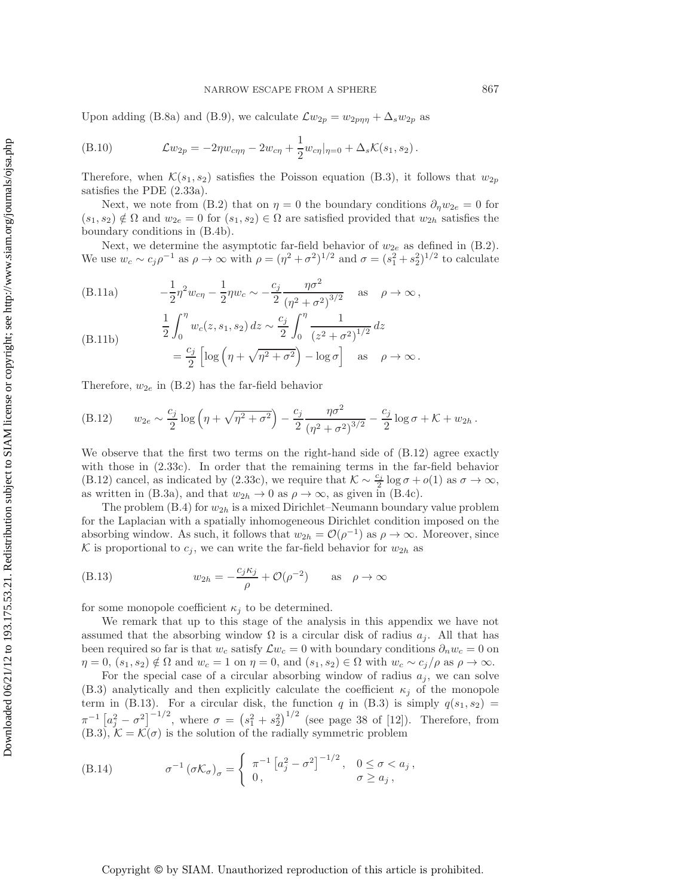Upon adding (B.8a) and (B.9), we calculate  $\mathcal{L}w_{2p} = w_{2p\eta\eta} + \Delta_s w_{2p}$  as

(B.10) 
$$
\mathcal{L}w_{2p} = -2\eta w_{c\eta\eta} - 2w_{c\eta} + \frac{1}{2}w_{c\eta}|_{\eta=0} + \Delta_s \mathcal{K}(s_1, s_2).
$$

Therefore, when  $\mathcal{K}(s_1, s_2)$  satisfies the Poisson equation (B.3), it follows that  $w_{2p}$ satisfies the PDE (2.33a).

Next, we note from (B.2) that on  $\eta = 0$  the boundary conditions  $\partial_{\eta}w_{2e} = 0$  for  $(s_1, s_2) \notin \Omega$  and  $w_{2e} = 0$  for  $(s_1, s_2) \in \Omega$  are satisfied provided that  $w_{2h}$  satisfies the boundary conditions in (B.4b).

Next, we determine the asymptotic far-field behavior of  $w_{2e}$  as defined in (B.2). We use  $w_c \sim c_j \rho^{-1}$  as  $\rho \to \infty$  with  $\rho = (\eta^2 + \sigma^2)^{1/2}$  and  $\sigma = (s_1^2 + s_2^2)^{1/2}$  to calculate

(B.11a) 
$$
-\frac{1}{2}\eta^2 w_{c\eta} - \frac{1}{2}\eta w_c \sim -\frac{c_j}{2} \frac{\eta \sigma^2}{(\eta^2 + \sigma^2)^{3/2}} \text{ as } \rho \to \infty,
$$
  
(B.11b) 
$$
\frac{1}{2} \int_0^{\eta} w_c(z, s_1, s_2) dz \sim \frac{c_j}{2} \int_0^{\eta} \frac{1}{(z^2 + \sigma^2)^{1/2}} dz
$$

$$
= \frac{c_j}{2} \left[ \log \left( \eta + \sqrt{\eta^2 + \sigma^2} \right) - \log \sigma \right] \text{ as } \rho \to \infty.
$$

Therefore,  $w_{2e}$  in (B.2) has the far-field behavior

(B.12) 
$$
w_{2e} \sim \frac{c_j}{2} \log \left( \eta + \sqrt{\eta^2 + \sigma^2} \right) - \frac{c_j}{2} \frac{\eta \sigma^2}{\left( \eta^2 + \sigma^2 \right)^{3/2}} - \frac{c_j}{2} \log \sigma + \mathcal{K} + w_{2h}.
$$

We observe that the first two terms on the right-hand side of  $(B.12)$  agree exactly with those in (2.33c). In order that the remaining terms in the far-field behavior (B.12) cancel, as indicated by (2.33c), we require that  $K \sim \frac{c_j}{2} \log \sigma + o(1)$  as  $\sigma \to \infty$ , as written in (B.3a), and that  $w_{2h} \to 0$  as  $\rho \to \infty$ , as given in (B.4c).

The problem  $(B.4)$  for  $w_{2h}$  is a mixed Dirichlet–Neumann boundary value problem for the Laplacian with a spatially inhomogeneous Dirichlet condition imposed on the absorbing window. As such, it follows that  $w_{2h} = \mathcal{O}(\rho^{-1})$  as  $\rho \to \infty$ . Moreover, since K is proportional to  $c_j$ , we can write the far-field behavior for  $w_{2h}$  as

(B.13) 
$$
w_{2h} = -\frac{c_j \kappa_j}{\rho} + \mathcal{O}(\rho^{-2}) \quad \text{as} \quad \rho \to \infty
$$

for some monopole coefficient  $\kappa_i$  to be determined.

We remark that up to this stage of the analysis in this appendix we have not assumed that the absorbing window  $\Omega$  is a circular disk of radius  $a_i$ . All that has been required so far is that  $w_c$  satisfy  $\mathcal{L}w_c = 0$  with boundary conditions  $\partial_n w_c = 0$  on  $\eta = 0$ ,  $(s_1, s_2) \notin \Omega$  and  $w_c = 1$  on  $\eta = 0$ , and  $(s_1, s_2) \in \Omega$  with  $w_c \sim c_j/\rho$  as  $\rho \to \infty$ .

For the special case of a circular absorbing window of radius  $a_j$ , we can solve (B.3) analytically and then explicitly calculate the coefficient  $\kappa_j$  of the monopole term in (B.13). For a circular disk, the function q in (B.3) is simply  $q(s_1, s_2)$  =  $\pi^{-1} \left[a_j^2 - \sigma^2\right]^{-1/2}$ , where  $\sigma = (s_1^2 + s_2^2)^{1/2}$  (see page 38 of [12]). Therefore, from  $(B.3)$ ,  $K = \mathcal{K}(\sigma)$  is the solution of the radially symmetric problem

(B.14) 
$$
\sigma^{-1} (\sigma \mathcal{K}_{\sigma})_{\sigma} = \begin{cases} \pi^{-1} \left[ a_j^2 - \sigma^2 \right]^{-1/2}, & 0 \leq \sigma < a_j, \\ 0, & \sigma \geq a_j, \end{cases}
$$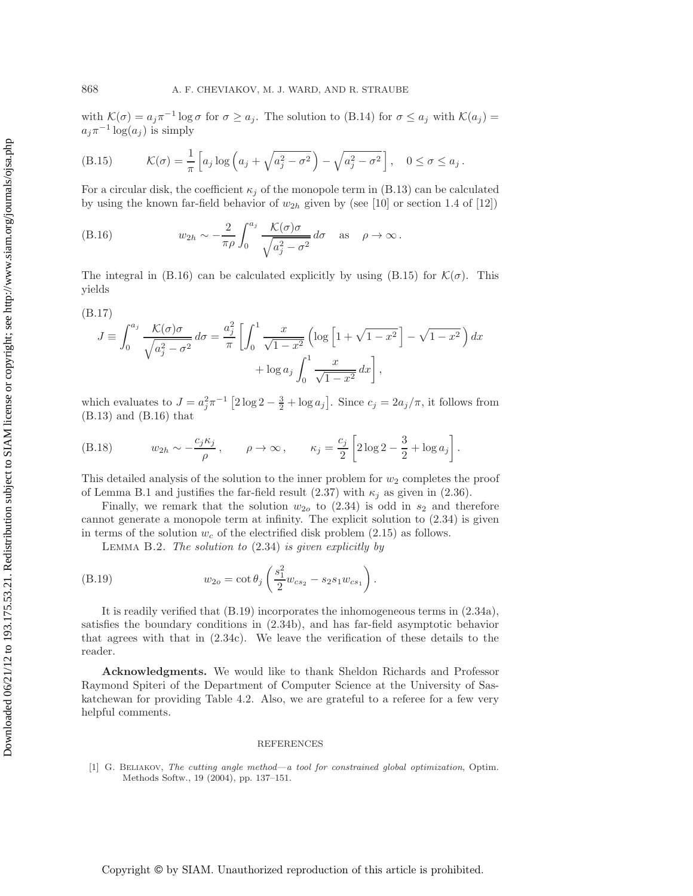with  $\mathcal{K}(\sigma) = a_j \pi^{-1} \log \sigma$  for  $\sigma \ge a_j$ . The solution to (B.14) for  $\sigma \le a_j$  with  $\mathcal{K}(a_j) =$  $a_j\pi^{-1}\log(a_j)$  is simply

(B.15) 
$$
\mathcal{K}(\sigma) = \frac{1}{\pi} \left[ a_j \log \left( a_j + \sqrt{a_j^2 - \sigma^2} \right) - \sqrt{a_j^2 - \sigma^2} \right], \quad 0 \le \sigma \le a_j.
$$

For a circular disk, the coefficient  $\kappa_i$  of the monopole term in (B.13) can be calculated by using the known far-field behavior of  $w_{2h}$  given by (see [10] or section 1.4 of [12])

(B.16) 
$$
w_{2h} \sim -\frac{2}{\pi \rho} \int_0^{a_j} \frac{\mathcal{K}(\sigma) \sigma}{\sqrt{a_j^2 - \sigma^2}} d\sigma \quad \text{as} \quad \rho \to \infty.
$$

The integral in (B.16) can be calculated explicitly by using (B.15) for  $\mathcal{K}(\sigma)$ . This yields

$$
(B.17)
$$

$$
J \equiv \int_0^{a_j} \frac{\mathcal{K}(\sigma)\sigma}{\sqrt{a_j^2 - \sigma^2}} d\sigma = \frac{a_j^2}{\pi} \left[ \int_0^1 \frac{x}{\sqrt{1 - x^2}} \left( \log \left[ 1 + \sqrt{1 - x^2} \right] - \sqrt{1 - x^2} \right) dx + \log a_j \int_0^1 \frac{x}{\sqrt{1 - x^2}} dx \right],
$$

which evaluates to  $J = a_j^2 \pi^{-1} \left[ 2 \log 2 - \frac{3}{2} + \log a_j \right]$ . Since  $c_j = 2a_j/\pi$ , it follows from (B.13) and (B.16) that

(B.18) 
$$
w_{2h} \sim -\frac{c_j \kappa_j}{\rho}, \qquad \rho \to \infty, \qquad \kappa_j = \frac{c_j}{2} \left[ 2 \log 2 - \frac{3}{2} + \log a_j \right].
$$

This detailed analysis of the solution to the inner problem for  $w_2$  completes the proof of Lemma B.1 and justifies the far-field result (2.37) with  $\kappa_i$  as given in (2.36).

Finally, we remark that the solution  $w_{2o}$  to  $(2.34)$  is odd in  $s_2$  and therefore cannot generate a monopole term at infinity. The explicit solution to (2.34) is given in terms of the solution  $w_c$  of the electrified disk problem (2.15) as follows.

Lemma B.2. *The solution to* (2.34) *is given explicitly by*

(B.19) 
$$
w_{2o} = \cot \theta_j \left( \frac{s_1^2}{2} w_{cs_2} - s_2 s_1 w_{cs_1} \right).
$$

It is readily verified that (B.19) incorporates the inhomogeneous terms in (2.34a), satisfies the boundary conditions in (2.34b), and has far-field asymptotic behavior that agrees with that in (2.34c). We leave the verification of these details to the reader.

**Acknowledgments.** We would like to thank Sheldon Richards and Professor Raymond Spiteri of the Department of Computer Science at the University of Saskatchewan for providing Table 4.2. Also, we are grateful to a referee for a few very helpful comments.

#### REFERENCES

[1] G. BELIAKOV, The cutting angle method—a tool for constrained global optimization, Optim. Methods Softw., 19 (2004), pp. 137–151.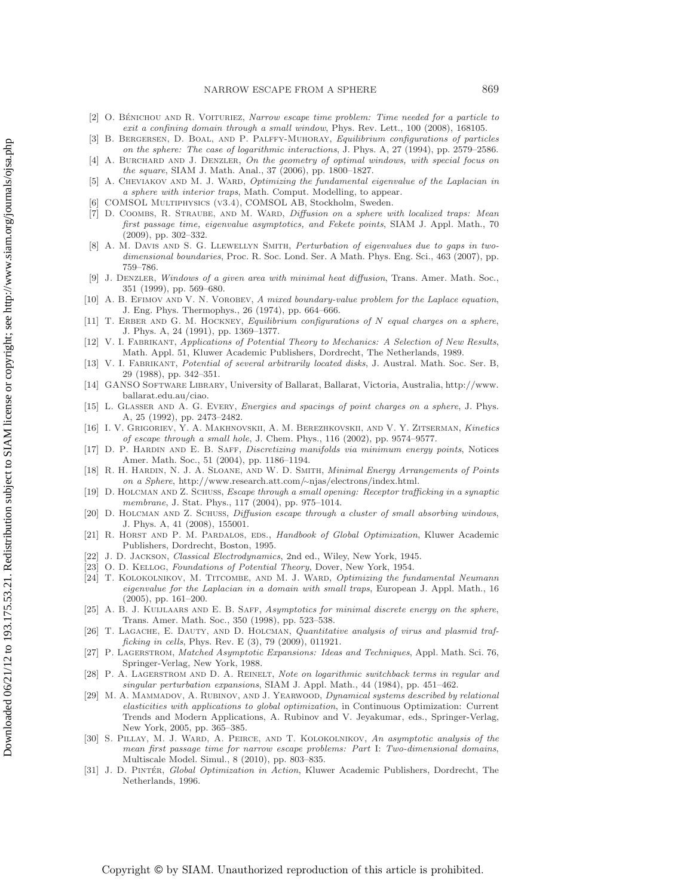- [2] O. BÉNICHOU AND R. VOITURIEZ, Narrow escape time problem: Time needed for a particle to exit a confining domain through a small window, Phys. Rev. Lett., 100 (2008), 168105.
- [3] B. Bergersen, D. Boal, and P. Palffy-Muhoray, Equilibrium configurations of particles on the sphere: The case of logarithmic interactions, J. Phys. A, 27 (1994), pp. 2579–2586.
- [4] A. BURCHARD AND J. DENZLER, On the geometry of optimal windows, with special focus on the square, SIAM J. Math. Anal., 37 (2006), pp. 1800–1827.
- A. CHEVIAKOV AND M. J. WARD, Optimizing the fundamental eigenvalue of the Laplacian in a sphere with interior traps, Math. Comput. Modelling, to appear.
- COMSOL MULTIPHYSICS (v3.4), COMSOL AB, Stockholm, Sweden.
- [7] D. COOMBS, R. STRAUBE, AND M. WARD, Diffusion on a sphere with localized traps: Mean first passage time, eigenvalue asymptotics, and Fekete points, SIAM J. Appl. Math., 70 (2009), pp. 302–332.
- [8] A. M. DAVIS AND S. G. LLEWELLYN SMITH, Perturbation of eigenvalues due to gaps in twodimensional boundaries, Proc. R. Soc. Lond. Ser. A Math. Phys. Eng. Sci., 463 (2007), pp. 759–786.
- [9] J. Denzler, Windows of a given area with minimal heat diffusion, Trans. Amer. Math. Soc., 351 (1999), pp. 569–680.
- [10] A. B. EFIMOV AND V. N. VOROBEV, A mixed boundary-value problem for the Laplace equation, J. Eng. Phys. Thermophys., 26 (1974), pp. 664–666.
- [11] T. ERBER AND G. M. HOCKNEY, Equilibrium configurations of N equal charges on a sphere, J. Phys. A, 24 (1991), pp. 1369–1377.
- [12] V. I. FABRIKANT, Applications of Potential Theory to Mechanics: A Selection of New Results, Math. Appl. 51, Kluwer Academic Publishers, Dordrecht, The Netherlands, 1989.
- [13] V. I. FABRIKANT, Potential of several arbitrarily located disks, J. Austral. Math. Soc. Ser. B, 29 (1988), pp. 342–351.
- [14] GANSO Software Library, University of Ballarat, Ballarat, Victoria, Australia, http://www. ballarat.edu.au/ciao.
- [15] L. GLASSER AND A. G. EVERY, *Energies and spacings of point charges on a sphere*, J. Phys. A, 25 (1992), pp. 2473–2482.
- [16] I. V. Grigoriev, Y. A. Makhnovskii, A. M. Berezhkovskii, and V. Y. Zitserman, Kinetics of escape through a small hole, J. Chem. Phys., 116 (2002), pp. 9574–9577.
- [17] D. P. HARDIN AND E. B. SAFF, Discretizing manifolds via minimum energy points, Notices Amer. Math. Soc., 51 (2004), pp. 1186–1194.
- [18] R. H. Hardin, N. J. A. Sloane, and W. D. Smith, Minimal Energy Arrangements of Points on a Sphere, http://www.research.att.com/∼njas/electrons/index.html.
- [19] D. Holcman and Z. Schuss, Escape through a small opening: Receptor trafficking in a synaptic membrane, J. Stat. Phys., 117 (2004), pp. 975–1014.
- [20] D. Holcman and Z. Schuss, Diffusion escape through a cluster of small absorbing windows, J. Phys. A, 41 (2008), 155001.
- [21] R. HORST AND P. M. PARDALOS, EDS., Handbook of Global Optimization, Kluwer Academic Publishers, Dordrecht, Boston, 1995.
- [22] J. D. Jackson, Classical Electrodynamics, 2nd ed., Wiley, New York, 1945.
- [23] O. D. KELLOG, Foundations of Potential Theory, Dover, New York, 1954.
- [24] T. KOLOKOLNIKOV, M. TITCOMBE, AND M. J. WARD, Optimizing the fundamental Neumann eigenvalue for the Laplacian in a domain with small traps, European J. Appl. Math., 16 (2005), pp. 161–200.
- [25] A. B. J. KUIJLAARS AND E. B. SAFF, Asymptotics for minimal discrete energy on the sphere, Trans. Amer. Math. Soc., 350 (1998), pp. 523–538.
- [26] T. LAGACHE, E. DAUTY, AND D. HOLCMAN, Quantitative analysis of virus and plasmid trafficking in cells, Phys. Rev. E (3), 79 (2009), 011921.
- [27] P. LAGERSTROM, Matched Asymptotic Expansions: Ideas and Techniques, Appl. Math. Sci. 76, Springer-Verlag, New York, 1988.
- [28] P. A. LAGERSTROM AND D. A. REINELT, Note on logarithmic switchback terms in regular and singular perturbation expansions, SIAM J. Appl. Math., 44 (1984), pp. 451–462.
- [29] M. A. MAMMADOV, A. RUBINOV, AND J. YEARWOOD, Dynamical systems described by relational elasticities with applications to global optimization, in Continuous Optimization: Current Trends and Modern Applications, A. Rubinov and V. Jeyakumar, eds., Springer-Verlag, New York, 2005, pp. 365–385.
- [30] S. PILLAY, M. J. WARD, A. PEIRCE, AND T. KOLOKOLNIKOV, An asymptotic analysis of the mean first passage time for narrow escape problems: Part I: Two-dimensional domains, Multiscale Model. Simul., 8 (2010), pp. 803–835.
- [31] J. D. PINTÉR, Global Optimization in Action, Kluwer Academic Publishers, Dordrecht, The Netherlands, 1996.